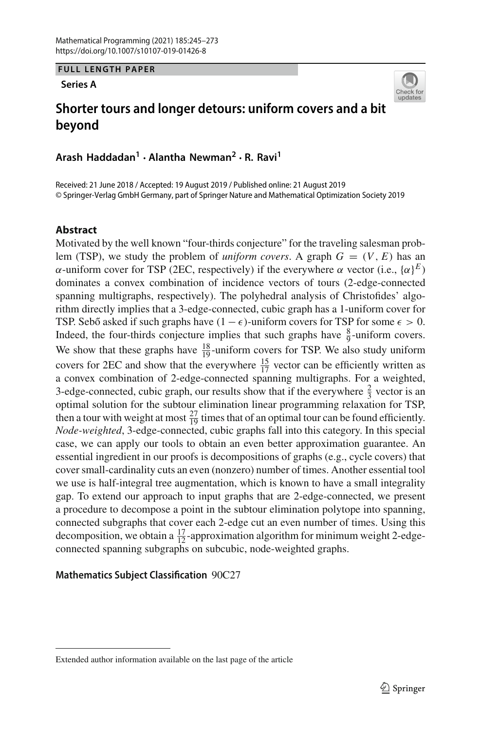**FULL LENGTH PAPER**

**Series A**



# **Shorter tours and longer detours: uniform covers and a bit beyond**

**Arash Haddadan1 · Alantha Newman2 · R. Ravi1**

Received: 21 June 2018 / Accepted: 19 August 2019 / Published online: 21 August 2019 © Springer-Verlag GmbH Germany, part of Springer Nature and Mathematical Optimization Society 2019

## **Abstract**

Motivated by the well known "four-thirds conjecture" for the traveling salesman problem (TSP), we study the problem of *uniform covers*. A graph  $G = (V, E)$  has an α-uniform cover for TSP (2EC, respectively) if the everywhere α vector (i.e.,  $\{\alpha\}^E$ ) dominates a convex combination of incidence vectors of tours (2-edge-connected spanning multigraphs, respectively). The polyhedral analysis of Christofides' algorithm directly implies that a 3-edge-connected, cubic graph has a 1-uniform cover for TSP. Sebő asked if such graphs have  $(1 - \epsilon)$ -uniform covers for TSP for some  $\epsilon > 0$ . Indeed, the four-thirds conjecture implies that such graphs have  $\frac{8}{9}$ -uniform covers. We show that these graphs have  $\frac{18}{19}$ -uniform covers for TSP. We also study uniform covers for 2EC and show that the everywhere  $\frac{15}{17}$  vector can be efficiently written as a convex combination of 2-edge-connected spanning multigraphs. For a weighted, 3-edge-connected, cubic graph, our results show that if the everywhere  $\frac{2}{3}$  vector is an optimal solution for the subtour elimination linear programming relaxation for TSP, then a tour with weight at most  $\frac{27}{19}$  times that of an optimal tour can be found efficiently. *Node-weighted*, 3-edge-connected, cubic graphs fall into this category. In this special case, we can apply our tools to obtain an even better approximation guarantee. An essential ingredient in our proofs is decompositions of graphs (e.g., cycle covers) that cover small-cardinality cuts an even (nonzero) number of times. Another essential tool we use is half-integral tree augmentation, which is known to have a small integrality gap. To extend our approach to input graphs that are 2-edge-connected, we present a procedure to decompose a point in the subtour elimination polytope into spanning, connected subgraphs that cover each 2-edge cut an even number of times. Using this decomposition, we obtain a  $\frac{17}{12}$ -approximation algorithm for minimum weight 2-edgeconnected spanning subgraphs on subcubic, node-weighted graphs.

## **Mathematics Subject Classification** 90C27

Extended author information available on the last page of the article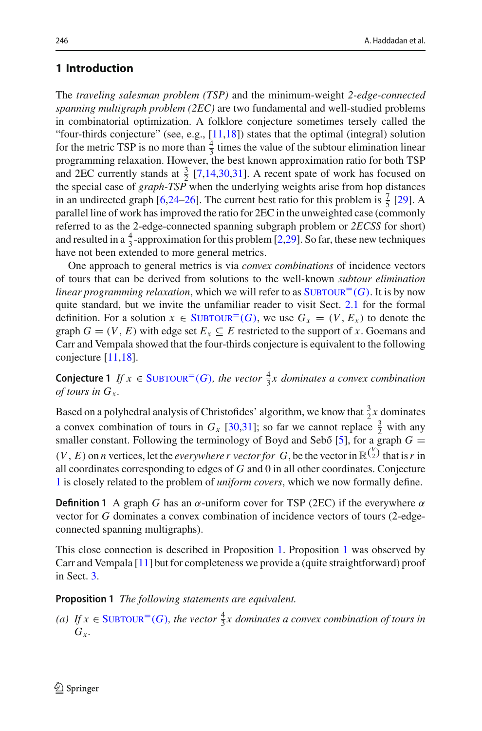## **1 Introduction**

The *traveling salesman problem (TSP)* and the minimum-weight *2-edge-connected spanning multigraph problem (2EC)* are two fundamental and well-studied problems in combinatorial optimization. A folklore conjecture sometimes tersely called the "four-thirds conjecture" (see, e.g.,  $[11,18]$  $[11,18]$ ) states that the optimal (integral) solution for the metric TSP is no more than  $\frac{4}{3}$  times the value of the subtour elimination linear programming relaxation. However, the best known approximation ratio for both TSP and 2EC currently stands at  $\frac{3}{2}$  [\[7](#page-27-2)[,14](#page-27-3)[,30](#page-28-0)[,31\]](#page-28-1). A recent spate of work has focused on the special case of *graph-TSP* when the underlying weights arise from hop distances in an undirected graph [\[6](#page-27-4)[,24](#page-28-2)[–26](#page-28-3)]. The current best ratio for this problem is  $\frac{7}{5}$  [\[29\]](#page-28-4). A parallel line of work has improved the ratio for 2EC in the unweighted case (commonly referred to as the 2-edge-connected spanning subgraph problem or *2ECSS* for short) and resulted in a  $\frac{4}{3}$ -approximation for this problem [\[2](#page-27-5)[,29](#page-28-4)]. So far, these new techniques have not been extended to more general metrics.

One approach to general metrics is via *convex combinations* of incidence vectors of tours that can be derived from solutions to the well-known *subtour elimination linear programming relaxation*, which we will refer to as  $\text{SUBTOUR}^=(G)$ . It is by now quite standard, but we invite the unfamiliar reader to visit Sect. [2.1](#page-5-1) for the formal definition. For a solution  $x \in SUBTOUR^=(G)$ , we use  $G_x = (V, E_x)$  to denote the graph  $G = (V, E)$  with edge set  $E_x \subseteq E$  restricted to the support of *x*. Goemans and Carr and Vempala showed that the four-thirds conjecture is equivalent to the following conjecture [\[11](#page-27-0)[,18](#page-27-1)].

<span id="page-1-0"></span>**Conjecture 1** *If*  $x \in \text{SUBTOUR}^=(G)$ *, the vector*  $\frac{4}{3}x$  *dominates a convex combination of tours in*  $G_r$ .

Based on a polyhedral analysis of Christofides' algorithm, we know that  $\frac{3}{2}x$  dominates a convex combination of tours in  $G_x$  [\[30](#page-28-0)[,31\]](#page-28-1); so far we cannot replace  $\frac{3}{2}$  with any smaller constant. Following the terminology of Boyd and Seb $\sigma$  [\[5\]](#page-27-6), for a graph  $G =$ 

 $(V, E)$  on *n* vertices, let the *everywhere r vector for* G, be the vector in  $\mathbb{R}^{\binom{V}{2}}$  that is r in all coordinates corresponding to edges of *G* and 0 in all other coordinates. Conjecture [1](#page-1-0) is closely related to the problem of *uniform covers*, which we now formally define.

**Definition 1** A graph *G* has an  $\alpha$ -uniform cover for TSP (2EC) if the everywhere  $\alpha$ vector for *G* dominates a convex combination of incidence vectors of tours (2-edgeconnected spanning multigraphs).

This close connection is described in Proposition [1.](#page-1-1) Proposition [1](#page-1-1) was observed by Carr and Vempala [\[11](#page-27-0)] but for completeness we provide a (quite straightforward) proof in Sect. [3.](#page-7-0)

<span id="page-1-1"></span>**Proposition 1** *The following statements are equivalent.*

(*a*) If *x* ∈ SUBTOUR<sup>=</sup>(*G*), the vector  $\frac{4}{3}$ *x* dominates a convex combination of tours in  $G<sub>x</sub>$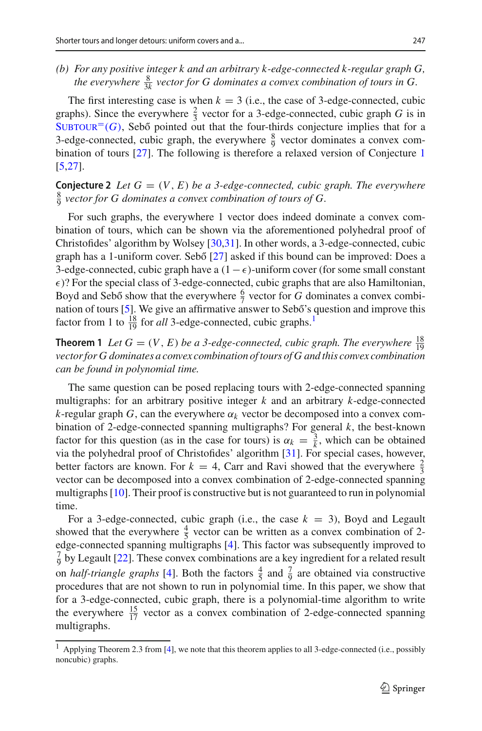*(b) For any positive integer k and an arbitrary k-edge-connected k-regular graph G,* the everywhere  $\frac{8}{3k}$  vector for G dominates a convex combination of tours in G.

The first interesting case is when  $k = 3$  (i.e., the case of 3-edge-connected, cubic graphs). Since the everywhere  $\frac{2}{3}$  vector for a 3-edge-connected, cubic graph *G* is in  $SUBTOUR<sup>=(G)</sup>$ , Sebő pointed out that the four-thirds conjecture implies that for a 3-edge-connected, cubic graph, the everywhere  $\frac{8}{9}$  vector dominates a convex combination of tours [\[27](#page-28-5)]. The following is therefore a relaxed version of Conjecture [1](#page-1-0) [\[5](#page-27-6)[,27](#page-28-5)].

<span id="page-2-3"></span>**Conjecture 2** Let  $G = (V, E)$  be a 3-edge-connected, cubic graph. The everywhere  $\frac{8}{9}$  vector for G dominates a convex combination of tours of G.

For such graphs, the everywhere 1 vector does indeed dominate a convex combination of tours, which can be shown via the aforementioned polyhedral proof of Christofides' algorithm by Wolsey [\[30](#page-28-0)[,31\]](#page-28-1). In other words, a 3-edge-connected, cubic graph has a 1-uniform cover. Sebő [\[27](#page-28-5)] asked if this bound can be improved: Does a 3-edge-connected, cubic graph have a  $(1-\epsilon)$ -uniform cover (for some small constant  $\epsilon$ )? For the special class of 3-edge-connected, cubic graphs that are also Hamiltonian, Boyd and Sebő show that the everywhere  $\frac{6}{7}$  vector for *G* dominates a convex combi-nation of tours [\[5\]](#page-27-6). We give an affirmative answer to Sebő's question and improve this factor from 1 to  $\frac{18}{19}$  for *all* 3-edge-connected, cubic graphs.<sup>1</sup>

<span id="page-2-1"></span>**Theorem 1** *Let*  $G = (V, E)$  *be a 3-edge-connected, cubic graph. The everywhere*  $\frac{18}{19}$ *vector for G dominates a convex combination of tours of G and this convex combination can be found in polynomial time.*

The same question can be posed replacing tours with 2-edge-connected spanning multigraphs: for an arbitrary positive integer *k* and an arbitrary *k*-edge-connected *k*-regular graph *G*, can the everywhere  $\alpha_k$  vector be decomposed into a convex combination of 2-edge-connected spanning multigraphs? For general *k*, the best-known factor for this question (as in the case for tours) is  $\alpha_k = \frac{3}{k}$ , which can be obtained via the polyhedral proof of Christofides' algorithm [\[31\]](#page-28-1). For special cases, however, better factors are known. For  $k = 4$ , Carr and Ravi showed that the everywhere  $\frac{2}{3}$ vector can be decomposed into a convex combination of 2-edge-connected spanning multigraphs [\[10](#page-27-7)]. Their proof is constructive but is not guaranteed to run in polynomial time.

For a 3-edge-connected, cubic graph (i.e., the case  $k = 3$ ), Boyd and Legault showed that the everywhere  $\frac{4}{5}$  vector can be written as a convex combination of 2edge-connected spanning multigraphs [\[4\]](#page-27-8). This factor was subsequently improved to  $\frac{7}{9}$  by Legault [\[22\]](#page-27-9). These convex combinations are a key ingredient for a related result on *half-triangle graphs* [\[4\]](#page-27-8). Both the factors  $\frac{4}{5}$  and  $\frac{7}{9}$  are obtained via constructive procedures that are not shown to run in polynomial time. In this paper, we show that for a 3-edge-connected, cubic graph, there is a polynomial-time algorithm to write the everywhere  $\frac{15}{17}$  vector as a convex combination of 2-edge-connected spanning multigraphs.

<span id="page-2-2"></span><span id="page-2-0"></span><sup>&</sup>lt;sup>1</sup> Applying Theorem 2.3 from [\[4](#page-27-8)], we note that this theorem applies to all 3-edge-connected (i.e., possibly noncubic) graphs.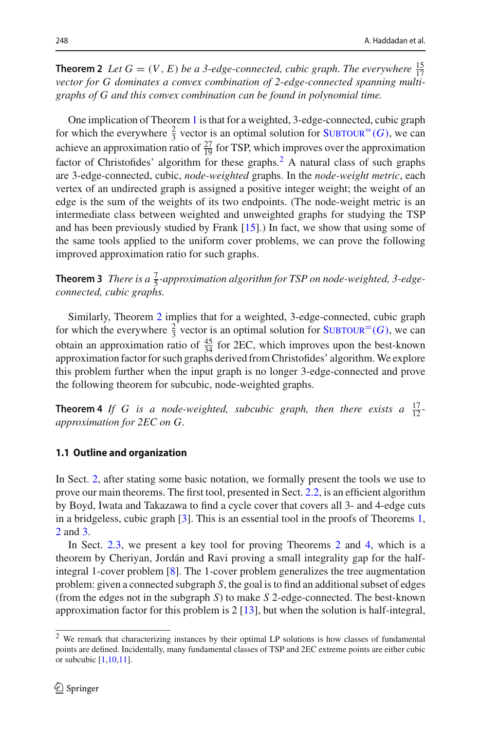**Theorem 2** *Let*  $G = (V, E)$  *be a 3-edge-connected, cubic graph. The everywhere*  $\frac{15}{17}$ *vector for G dominates a convex combination of 2-edge-connected spanning multigraphs of G and this convex combination can be found in polynomial time.*

One implication of Theorem [1](#page-2-1) is that for a weighted, 3-edge-connected, cubic graph for which the everywhere  $\frac{2}{3}$  vector is an optimal solution for SUBTOUR<sup>=</sup>(*G*), we can achieve an approximation ratio of  $\frac{27}{19}$  for TSP, which improves over the approximation factor of Christofides' algorithm for these graphs.<sup>2</sup> A natural class of such graphs are 3-edge-connected, cubic, *node-weighted* graphs. In the *node-weight metric*, each vertex of an undirected graph is assigned a positive integer weight; the weight of an edge is the sum of the weights of its two endpoints. (The node-weight metric is an intermediate class between weighted and unweighted graphs for studying the TSP and has been previously studied by Frank  $[15]$  $[15]$ .) In fact, we show that using some of the same tools applied to the uniform cover problems, we can prove the following improved approximation ratio for such graphs.

<span id="page-3-1"></span>**Theorem 3** *There is a*  $\frac{7}{5}$ -approximation algorithm for TSP on node-weighted, 3-edge*connected, cubic graphs.*

Similarly, Theorem [2](#page-2-2) implies that for a weighted, 3-edge-connected, cubic graph for which the everywhere  $\frac{2}{3}$  vector is an optimal solution for SUBTOUR<sup>=</sup>(*G*), we can obtain an approximation ratio of  $\frac{45}{34}$  for 2EC, which improves upon the best-known approximation factor for such graphs derived from Christofides' algorithm.We explore this problem further when the input graph is no longer 3-edge-connected and prove the following theorem for subcubic, node-weighted graphs.

<span id="page-3-2"></span>**Theorem 4** If G is a node-weighted, subcubic graph, then there exists a  $\frac{17}{12}$ *approximation for 2EC on G.*

#### **1.1 Outline and organization**

In Sect. [2,](#page-4-0) after stating some basic notation, we formally present the tools we use to prove our main theorems. The first tool, presented in Sect. [2.2,](#page-6-0) is an efficient algorithm by Boyd, Iwata and Takazawa to find a cycle cover that covers all 3- and 4-edge cuts in a bridgeless, cubic graph [\[3\]](#page-27-11). This is an essential tool in the proofs of Theorems [1,](#page-2-1) [2](#page-2-2) and [3.](#page-3-1)

In Sect. [2.3,](#page-6-1) we present a key tool for proving Theorems [2](#page-2-2) and [4,](#page-3-2) which is a theorem by Cheriyan, Jordán and Ravi proving a small integrality gap for the halfintegral 1-cover problem [\[8](#page-27-12)]. The 1-cover problem generalizes the tree augmentation problem: given a connected subgraph *S*, the goal is to find an additional subset of edges (from the edges not in the subgraph *S*) to make *S* 2-edge-connected. The best-known approximation factor for this problem is 2 [\[13](#page-27-13)], but when the solution is half-integral,

<span id="page-3-0"></span><sup>2</sup> We remark that characterizing instances by their optimal LP solutions is how classes of fundamental points are defined. Incidentally, many fundamental classes of TSP and 2EC extreme points are either cubic or subcubic [\[1](#page-27-14)[,10](#page-27-7)[,11](#page-27-0)].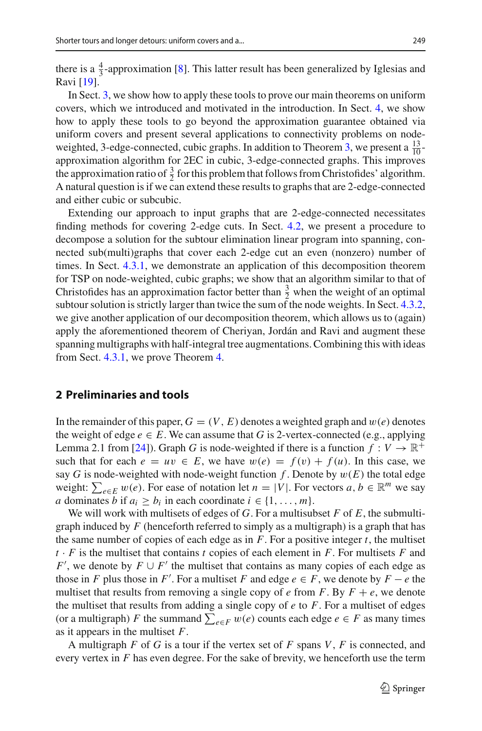there is a  $\frac{4}{3}$ -approximation [\[8](#page-27-12)]. This latter result has been generalized by Iglesias and Ravi [\[19](#page-27-15)].

In Sect. [3,](#page-7-0) we show how to apply these tools to prove our main theorems on uniform covers, which we introduced and motivated in the introduction. In Sect. [4,](#page-13-0) we show how to apply these tools to go beyond the approximation guarantee obtained via uniform covers and present several applications to connectivity problems on node-weighted, 3-edge-connected, cubic graphs. In addition to Theorem [3,](#page-3-1) we present a  $\frac{13}{10}$ approximation algorithm for 2EC in cubic, 3-edge-connected graphs. This improves the approximation ratio of  $\frac{3}{2}$  for this problem that follows from Christofides' algorithm. A natural question is if we can extend these results to graphs that are 2-edge-connected and either cubic or subcubic.

Extending our approach to input graphs that are 2-edge-connected necessitates finding methods for covering 2-edge cuts. In Sect. [4.2,](#page-15-0) we present a procedure to decompose a solution for the subtour elimination linear program into spanning, connected sub(multi)graphs that cover each 2-edge cut an even (nonzero) number of times. In Sect. [4.3.1,](#page-20-0) we demonstrate an application of this decomposition theorem for TSP on node-weighted, cubic graphs; we show that an algorithm similar to that of Christofides has an approximation factor better than  $\frac{3}{2}$  when the weight of an optimal subtour solution is strictly larger than twice the sum of the node weights. In Sect. [4.3.2,](#page-24-0) we give another application of our decomposition theorem, which allows us to (again) apply the aforementioned theorem of Cheriyan, Jordán and Ravi and augment these spanning multigraphs with half-integral tree augmentations. Combining this with ideas from Sect. [4.3.1,](#page-20-0) we prove Theorem [4.](#page-3-2)

### <span id="page-4-0"></span>**2 Preliminaries and tools**

In the remainder of this paper,  $G = (V, E)$  denotes a weighted graph and  $w(e)$  denotes the weight of edge  $e \in E$ . We can assume that *G* is 2-vertex-connected (e.g., applying Lemma 2.1 from [\[24](#page-28-2)]). Graph *G* is node-weighted if there is a function  $f: V \to \mathbb{R}^+$ such that for each  $e = uv \in E$ , we have  $w(e) = f(v) + f(u)$ . In this case, we say *G* is node-weighted with node-weight function  $f$ . Denote by  $w(E)$  the total edge weight:  $\sum_{e \in E} w(e)$ . For ease of notation let  $n = |V|$ . For vectors  $a, b \in \mathbb{R}^m$  we say *a* dominates *b* if  $a_i \geq b_i$  in each coordinate  $i \in \{1, \ldots, m\}.$ 

We will work with multisets of edges of *G*. For a multisubset *F* of *E*, the submultigraph induced by *F* (henceforth referred to simply as a multigraph) is a graph that has the same number of copies of each edge as in  $F$ . For a positive integer  $t$ , the multiset *t* · *F* is the multiset that contains *t* copies of each element in *F*. For multisets *F* and *F*<sup>'</sup>, we denote by  $F \cup F'$  the multiset that contains as many copies of each edge as those in *F* plus those in *F*'. For a multiset *F* and edge  $e \in F$ , we denote by  $F - e$  the multiset that results from removing a single copy of  $e$  from  $F$ . By  $F + e$ , we denote the multiset that results from adding a single copy of *e* to *F*. For a multiset of edges (or a multigraph) *F* the summand  $\sum_{e \in F} w(e)$  counts each edge  $e \in F$  as many times as it appears in the multiset *F*.

A multigraph *F* of *G* is a tour if the vertex set of *F* spans *V*, *F* is connected, and every vertex in *F* has even degree. For the sake of brevity, we henceforth use the term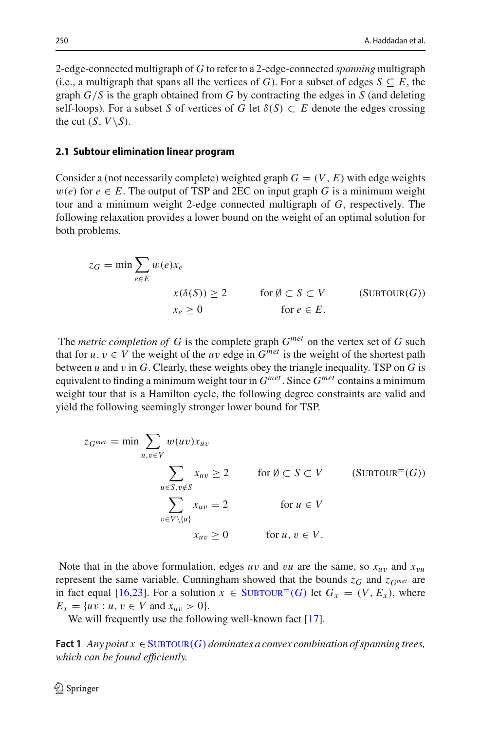2-edge-connected multigraph of *G* to refer to a 2-edge-connected *spanning* multigraph (i.e., a multigraph that spans all the vertices of *G*). For a subset of edges  $S \subseteq E$ , the graph *G*/*S* is the graph obtained from *G* by contracting the edges in *S* (and deleting self-loops). For a subset *S* of vertices of *G* let  $\delta(S) \subset E$  denote the edges crossing the cut  $(S, V \setminus S)$ .

#### <span id="page-5-1"></span>**2.1 Subtour elimination linear program**

Consider a (not necessarily complete) weighted graph  $G = (V, E)$  with edge weights  $w(e)$  for  $e \in E$ . The output of TSP and 2EC on input graph G is a minimum weight tour and a minimum weight 2-edge connected multigraph of *G*, respectively. The following relaxation provides a lower bound on the weight of an optimal solution for both problems.

<span id="page-5-2"></span>
$$
z_G = \min \sum_{e \in E} w(e)x_e
$$
  

$$
x(\delta(S)) \ge 2 \quad \text{for } \emptyset \subset S \subset V \quad (\text{SUBTOUR}(G))
$$
  

$$
x_e \ge 0 \quad \text{for } e \in E.
$$

The *metric completion of G* is the complete graph *Gmet* on the vertex set of *G* such that for  $u, v \in V$  the weight of the *uv* edge in  $G^{met}$  is the weight of the shortest path between *u* and v in *G*. Clearly, these weights obey the triangle inequality. TSP on *G* is equivalent to finding a minimum weight tour in *Gmet* . Since *Gmet* contains a minimum weight tour that is a Hamilton cycle, the following degree constraints are valid and yield the following seemingly stronger lower bound for TSP.

<span id="page-5-0"></span>
$$
z_{G^{met}} = \min \sum_{u,v \in V} w(uv) x_{uv}
$$
  

$$
\sum_{u \in S, v \notin S} x_{uv} \ge 2 \quad \text{for } \emptyset \subset S \subset V \quad (\text{SUBTOUR}=(G))
$$
  

$$
\sum_{v \in V \setminus \{u\}} x_{uv} = 2 \quad \text{for } u \in V
$$
  

$$
x_{uv} \ge 0 \quad \text{for } u, v \in V.
$$

Note that in the above formulation, edges *uv* and *vu* are the same, so  $x_{uv}$  and  $x_{vu}$ represent the same variable. Cunningham showed that the bounds  $z_G$  and  $z_{G^{met}}$  are in fact equal [\[16](#page-27-16)[,23\]](#page-28-6). For a solution  $x \in$  SUBTOUR<sup>=</sup>(*G*) let  $G_x = (V, E_x)$ , where  $E_x = \{uv : u, v \in V \text{ and } x_{uv} > 0\}.$ 

<span id="page-5-3"></span>We will frequently use the following well-known fact [\[17\]](#page-27-17).

**Fact 1** *Any point*  $x \in SUBTOUR(G)$  *dominates a convex combination of spanning trees, which can be found efficiently.*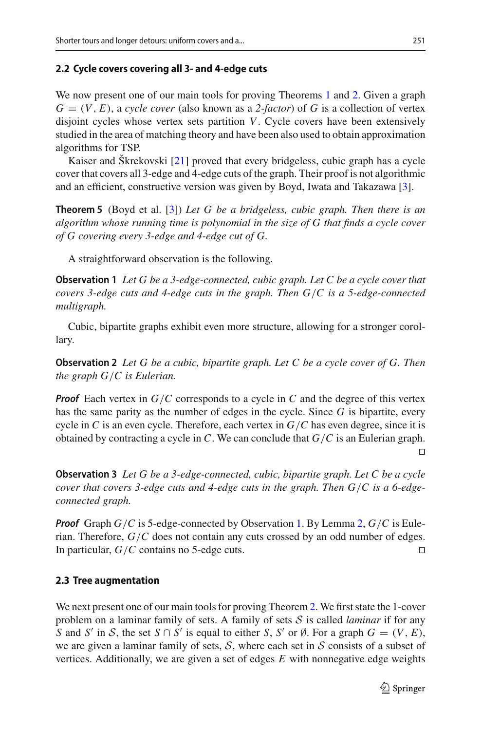#### <span id="page-6-0"></span>**2.2 Cycle covers covering all 3- and 4-edge cuts**

We now present one of our main tools for proving Theorems [1](#page-2-1) and [2.](#page-2-2) Given a graph  $G = (V, E)$ , a *cycle cover* (also known as a 2-factor) of G is a collection of vertex disjoint cycles whose vertex sets partition *V*. Cycle covers have been extensively studied in the area of matching theory and have been also used to obtain approximation algorithms for TSP.

Kaiser and Škrekovski [\[21\]](#page-27-18) proved that every bridgeless, cubic graph has a cycle cover that covers all 3-edge and 4-edge cuts of the graph. Their proof is not algorithmic and an efficient, constructive version was given by Boyd, Iwata and Takazawa [\[3\]](#page-27-11).

<span id="page-6-4"></span>**Theorem 5** (Boyd et al. [\[3](#page-27-11)]) *Let G be a bridgeless, cubic graph. Then there is an algorithm whose running time is polynomial in the size of G that finds a cycle cover of G covering every 3-edge and 4-edge cut of G.*

<span id="page-6-2"></span>A straightforward observation is the following.

**Observation 1** *Let G be a 3-edge-connected, cubic graph. Let C be a cycle cover that covers 3-edge cuts and 4-edge cuts in the graph. Then G*/*C is a 5-edge-connected multigraph.*

<span id="page-6-3"></span>Cubic, bipartite graphs exhibit even more structure, allowing for a stronger corollary.

**Observation 2** *Let G be a cubic, bipartite graph. Let C be a cycle cover of G. Then the graph G*/*C is Eulerian.*

*Proof* Each vertex in *G*/*C* corresponds to a cycle in *C* and the degree of this vertex has the same parity as the number of edges in the cycle. Since *G* is bipartite, every cycle in *C* is an even cycle. Therefore, each vertex in *G*/*C* has even degree, since it is obtained by contracting a cycle in *C*. We can conclude that *G*/*C* is an Eulerian graph. F

<span id="page-6-5"></span>**Observation 3** *Let G be a 3-edge-connected, cubic, bipartite graph. Let C be a cycle cover that covers 3-edge cuts and 4-edge cuts in the graph. Then G*/*C is a 6-edgeconnected graph.*

*Proof* Graph *G*/*C* is 5-edge-connected by Observation [1.](#page-6-2) By Lemma [2,](#page-6-3) *G*/*C* is Eulerian. Therefore, *G*/*C* does not contain any cuts crossed by an odd number of edges. In particular, *G*/*C* contains no 5-edge cuts.  $\Box$ 

#### <span id="page-6-1"></span>**2.3 Tree augmentation**

We next present one of our main tools for proving Theorem [2.](#page-2-2) We first state the 1-cover problem on a laminar family of sets. A family of sets *S* is called *laminar* if for any *S* and *S'* in *S*, the set *S* ∩ *S'* is equal to either *S*, *S'* or Ø. For a graph  $G = (V, E)$ , we are given a laminar family of sets, *S*, where each set in *S* consists of a subset of vertices. Additionally, we are given a set of edges *E* with nonnegative edge weights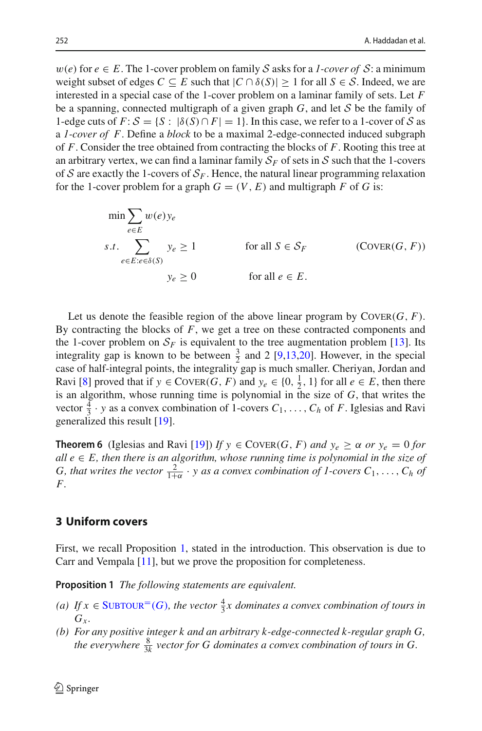$w(e)$  for  $e \in E$ . The 1-cover problem on family S asks for a *1-cover of* S: a minimum weight subset of edges  $C \subseteq E$  such that  $|C \cap \delta(S)| \ge 1$  for all  $S \in \mathcal{S}$ . Indeed, we are interested in a special case of the 1-cover problem on a laminar family of sets. Let *F* be a spanning, connected multigraph of a given graph *G*, and let *S* be the family of 1-edge cuts of  $F: S = \{S : |\delta(S) \cap F| = 1\}$ . In this case, we refer to a 1-cover of *S* as a *1-cover of F*. Define a *block* to be a maximal 2-edge-connected induced subgraph of *F*. Consider the tree obtained from contracting the blocks of *F*. Rooting this tree at an arbitrary vertex, we can find a laminar family  $S_F$  of sets in *S* such that the 1-covers of *S* are exactly the 1-covers of  $S_F$ . Hence, the natural linear programming relaxation for the 1-cover problem for a graph  $G = (V, E)$  and multigraph *F* of *G* is:

$$
\min \sum_{e \in E} w(e) y_e
$$
\n
$$
s.t. \sum_{e \in E: e \in \delta(S)} y_e \ge 1 \qquad \text{for all } S \in \mathcal{S}_F \qquad \text{(Cover}(G, F))
$$
\n
$$
y_e \ge 0 \qquad \text{for all } e \in E.
$$

Let us denote the feasible region of the above linear program by  $\text{CovER}(G, F)$ . By contracting the blocks of *F*, we get a tree on these contracted components and the 1-cover problem on  $S_F$  is equivalent to the tree augmentation problem [\[13](#page-27-13)]. Its integrality gap is known to be between  $\frac{3}{2}$  and 2 [\[9](#page-27-19)[,13](#page-27-13)[,20\]](#page-27-20). However, in the special case of half-integral points, the integrality gap is much smaller. Cheriyan, Jordan and Ravi [\[8](#page-27-12)] proved that if  $y \in \text{Coker}(G, F)$  and  $y_e \in \{0, \frac{1}{2}, 1\}$  for all  $e \in E$ , then there is an algorithm, whose running time is polynomial in the size of *G*, that writes the vector  $\frac{4}{3} \cdot y$  as a convex combination of 1-covers  $C_1, \ldots, C_h$  of *F*. Iglesias and Ravi generalized this result [\[19\]](#page-27-15).

<span id="page-7-1"></span>**Theorem 6** (Iglesias and Ravi [\[19](#page-27-15)]) *If*  $y \in \text{Cover}(G, F)$  *and*  $y_e \ge \alpha$  *or*  $y_e = 0$  *for all*  $e$  ∈  $E$ , then there is an algorithm, whose running time is polynomial in the size of *G*, that writes the vector  $\frac{2}{1+\alpha} \cdot y$  as a convex combination of 1-covers  $C_1, \ldots, C_h$  of *F.*

## <span id="page-7-0"></span>**3 Uniform covers**

First, we recall Proposition [1,](#page-1-1) stated in the introduction. This observation is due to Carr and Vempala [\[11](#page-27-0)], but we prove the proposition for completeness.

**Proposition 1** *The following statements are equivalent.*

- (*a*) If *x* ∈ SUBTOUR<sup>=</sup>(*G*), the vector  $\frac{4}{3}$ *x* dominates a convex combination of tours in  $G<sub>r</sub>$
- *(b) For any positive integer k and an arbitrary k-edge-connected k-regular graph G,* the everywhere  $\frac{8}{3k}$  vector for G dominates a convex combination of tours in G.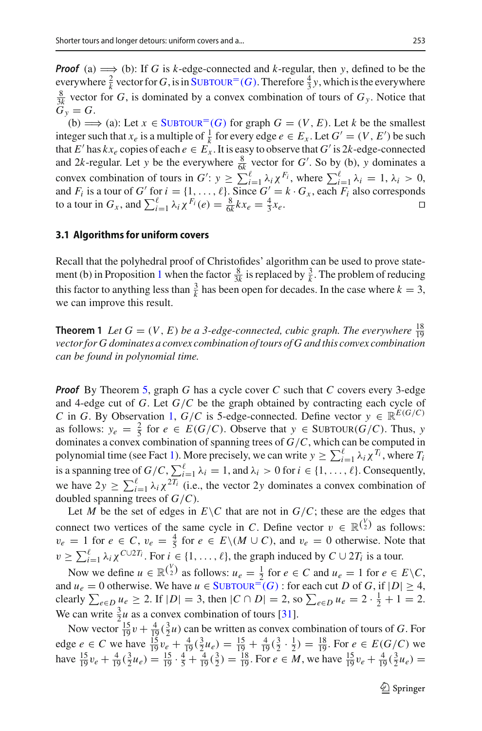*Proof* (a)  $\implies$  (b): If *G* is *k*-edge-connected and *k*-regular, then *y*, defined to be the everywhere  $\frac{2}{k}$  vector for *G*, is in SUBTOUR<sup>=</sup>(*G*). Therefore  $\frac{4}{3}y$ , which is the everywhere  $\frac{8}{3k}$  vector for *G*, is dominated by a convex combination of tours of  $G_y$ . Notice that  $\dddot{G}_v = G.$ 

(b)  $\implies$  (a): Let  $x \in$  SUBTOUR<sup>=</sup>(*G*) for graph  $G = (V, E)$ . Let *k* be the smallest integer such that  $x_e$  is a multiple of  $\frac{1}{k}$  for every edge  $e \in E_x$ . Let  $G' = (V, E')$  be such that *E'* has  $kx_e$  copies of each  $e \in E_x$ . It is easy to observe that *G'* is 2*k*-edge-connected and 2*k*-regular. Let *y* be the everywhere  $\frac{8}{6k}$  vector for *G'*. So by (b), *y* dominates a convex combination of tours in  $G'$ :  $y \ge \sum_{i=1}^{\ell} \lambda_i \chi^{F_i}$ , where  $\sum_{i=1}^{\ell} \lambda_i = 1, \lambda_i > 0$ , and  $F_i$  is a tour of  $G'$  for  $i = \{1, \ldots, \ell\}$ . Since  $G' = k \cdot G_x$ , each  $F_i$  also corresponds to a tour in  $G_x$ , and  $\sum_{i=1}^{\ell} \lambda_i \chi^{F_i}(e) = \frac{8}{6k} kx_e = \frac{4}{3}$  $\frac{4}{3}x_e$ .  $\Box$ 

#### **3.1 Algorithms for uniform covers**

Recall that the polyhedral proof of Christofides' algorithm can be used to prove state-ment (b) in Proposition [1](#page-1-1) when the factor  $\frac{8}{3k}$  is replaced by  $\frac{3}{k}$ . The problem of reducing this factor to anything less than  $\frac{3}{k}$  has been open for decades. In the case where  $k = 3$ , we can improve this result.

**Theorem 1** *Let*  $G = (V, E)$  *be a 3-edge-connected, cubic graph. The everywhere*  $\frac{18}{19}$ *vector for G dominates a convex combination of tours of G and this convex combination can be found in polynomial time.*

*Proof* By Theorem [5,](#page-6-4) graph *G* has a cycle cover *C* such that *C* covers every 3-edge and 4-edge cut of *G*. Let *G*/*C* be the graph obtained by contracting each cycle of *C* in *G*. By Observation [1,](#page-6-2) *G*/*C* is 5-edge-connected. Define vector  $y \in \mathbb{R}^{E(G/C)}$ as follows:  $y_e = \frac{2}{5}$  for  $e \in E(G/C)$ . Observe that  $y \in \text{SUBTOUR}(G/C)$ . Thus, *y* dominates a convex combination of spanning trees of *G*/*C*, which can be computed in polynomial time (see Fact [1\)](#page-5-3). More precisely, we can write  $y \ge \sum_{i=1}^{\ell} \lambda_i \chi^{T_i}$ , where  $T_i$ is a spanning tree of  $G/C$ ,  $\sum_{i=1}^{\ell} \lambda_i = 1$ , and  $\lambda_i > 0$  for  $i \in \{1, \ldots, \ell\}$ . Consequently, we have  $2y \ge \sum_{i=1}^{\ell} \lambda_i \chi^{2T_i}$  (i.e., the vector 2*y* dominates a convex combination of doubled spanning trees of *G*/*C*).

Let *M* be the set of edges in  $E\setminus C$  that are not in  $G/C$ ; these are the edges that connect two vertices of the same cycle in *C*. Define vector  $v \in \mathbb{R}^{\binom{V}{2}}$  as follows:  $v_e = 1$  for  $e \in C$ ,  $v_e = \frac{4}{5}$  for  $e \in E \setminus (M \cup C)$ , and  $v_e = 0$  otherwise. Note that  $v \ge \sum_{i=1}^{\ell} \lambda_i \chi^{C \cup 2T_i}$ . For  $i \in \{1, \ldots, \ell\}$ , the graph induced by  $C \cup 2T_i$  is a tour.

Now we define  $u \in \mathbb{R}^{\binom{V}{2}}$  as follows:  $u_e = \frac{1}{2}$  for  $e \in C$  and  $u_e = 1$  for  $e \in E \setminus C$ , and  $u_e = 0$  otherwise. We have  $u \in \text{SUBTOUR}^{\equiv}(G)$ : for each cut *D* of *G*, if  $|D| \geq 4$ , *e*∈*D*  $u_e$  ≥ 2. If  $|D| = 3$ , then  $|C ∩ D| = 2$ , so  $\sum_{e \in D} u_e = 2 \cdot \frac{1}{2} + 1 = 2$ . We can write  $\frac{3}{2}u$  as a convex combination of tours [\[31\]](#page-28-1).

Now vector  $\frac{15}{19}v + \frac{4}{19}(\frac{3}{2}u)$  can be written as convex combination of tours of *G*. For edge *e* ∈ *C* we have  $\frac{15}{19}v_e + \frac{4}{19}(\frac{3}{2}u_e) = \frac{15}{19} + \frac{4}{19}(\frac{3}{2} \cdot \frac{1}{2}) = \frac{18}{19}$ . For *e* ∈ *E*(*G*/*C*) we have  $\frac{15}{19}v_e + \frac{4}{19}(\frac{3}{2}u_e) = \frac{15}{19} \cdot \frac{4}{5} + \frac{4}{19}(\frac{3}{2}) = \frac{18}{19}$ . For  $e \in M$ , we have  $\frac{15}{19}v_e + \frac{4}{19}(\frac{3}{2}u_e) =$ 

 $\mathcal{D}$  Springer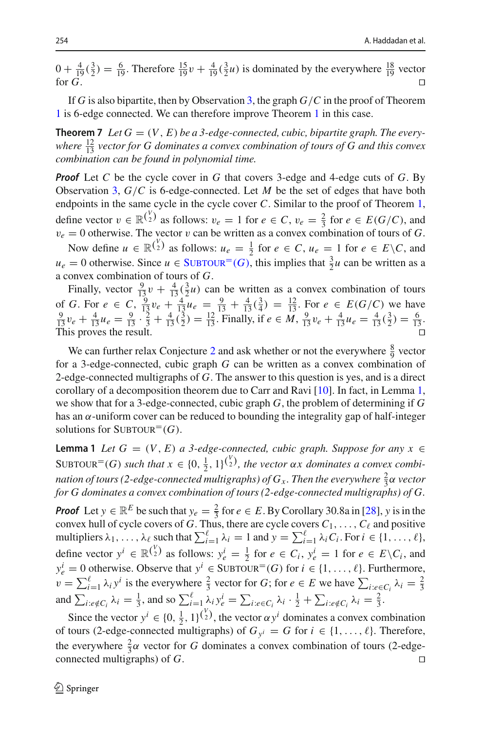$0 + \frac{4}{19}(\frac{3}{2}) = \frac{6}{19}$ . Therefore  $\frac{15}{19}v + \frac{4}{19}(\frac{3}{2}u)$  is dominated by the everywhere  $\frac{18}{19}$  vector for  $G$ .  $\Box$ 

If *G* is also bipartite, then by Observation [3,](#page-6-5) the graph *G*/*C* in the proof of Theorem [1](#page-2-1) is 6-edge connected. We can therefore improve Theorem [1](#page-2-1) in this case.

**Theorem 7** Let  $G = (V, E)$  be a 3-edge-connected, cubic, bipartite graph. The everywhere  $\frac{12}{13}$  vector for G dominates a convex combination of tours of G and this convex *combination can be found in polynomial time.*

*Proof* Let *C* be the cycle cover in *G* that covers 3-edge and 4-edge cuts of *G*. By Observation [3,](#page-6-5) *G*/*C* is 6-edge-connected. Let *M* be the set of edges that have both endpoints in the same cycle in the cycle cover *C*. Similar to the proof of Theorem [1,](#page-2-1) define vector  $v \in \mathbb{R}^{\binom{V}{2}}$  as follows:  $v_e = 1$  for  $e \in C$ ,  $v_e = \frac{2}{3}$  for  $e \in E(G/C)$ , and  $v_e = 0$  otherwise. The vector v can be written as a convex combination of tours of *G*.

Now define  $u \in \mathbb{R}^{\binom{V}{2}}$  as follows:  $u_e = \frac{1}{2}$  for  $e \in C$ ,  $u_e = 1$  for  $e \in E \setminus C$ , and  $u_e = 0$  otherwise. Since  $u \in \text{SUBTOUR}^=(G)$ , this implies that  $\frac{3}{2}u$  can be written as a a convex combination of tours of *G*.

Finally, vector  $\frac{9}{13}v + \frac{4}{13}(\frac{3}{2}u)$  can be written as a convex combination of tours of *G*. For  $e \in C$ ,  $\frac{9}{13}v_e + \frac{4}{13}u_e = \frac{9}{13} + \frac{4}{13}(\frac{3}{4}) = \frac{12}{13}$ . For  $e \in E(G/C)$  we have  $\frac{9}{13}v_e + \frac{4}{13}u_e = \frac{9}{13} \cdot \frac{2}{3} + \frac{4}{13}(\frac{3}{2}) = \frac{12}{13}$ . Finally, if  $e \in M$ ,  $\frac{9}{13}v_e + \frac{4}{13}u_e = \frac{4}{13$ This proves the result.  $\Box$ Ч

We can further relax Conjecture [2](#page-2-3) and ask whether or not the everywhere  $\frac{8}{9}$  vector for a 3-edge-connected, cubic graph *G* can be written as a convex combination of 2-edge-connected multigraphs of *G*. The answer to this question is yes, and is a direct corollary of a decomposition theorem due to Carr and Ravi [\[10\]](#page-27-7). In fact, in Lemma [1,](#page-9-0) we show that for a 3-edge-connected, cubic graph *G*, the problem of determining if *G* has an  $\alpha$ -uniform cover can be reduced to bounding the integrality gap of half-integer solutions for  $\text{SUBTOUR}^=(G)$ .

<span id="page-9-0"></span>**Lemma 1** *Let*  $G = (V, E)$  *a 3-edge-connected, cubic graph. Suppose for any*  $x \in$ SUBTOUR<sup>=</sup>(*G*) *such that*  $x \in \{0, \frac{1}{2}, 1\}^{V_2}$ , the vector  $\alpha x$  dominates a convex combi*nation of tours (2-edge-connected multigraphs) of*  $G_x$ *. Then the everywhere*  $\frac{2}{3}$ *α vector for G dominates a convex combination of tours (2-edge-connected multigraphs) of G.*

*Proof* Let  $y \in \mathbb{R}^E$  be such that  $y_e = \frac{2}{3}$  for  $e \in E$ . By Corollary 30.8a in [\[28](#page-28-7)], *y* is in the convex hull of cycle covers of *G*. Thus, there are cycle covers  $C_1, \ldots, C_\ell$  and positive multipliers  $\lambda_1, \ldots, \lambda_\ell$  such that  $\sum_{i=1}^\ell \lambda_i = 1$  and  $y = \sum_{i=1}^\ell \lambda_i C_i$ . For  $i \in \{1, \ldots, \ell\}$ , define vector  $y^i \in \mathbb{R}^{\binom{V}{2}}$  as follows:  $y^i_e = \frac{1}{2}$  for  $e \in C_i$ ,  $y^i_e = 1$  for  $e \in E \setminus C_i$ , and  $y_e^i = 0$  otherwise. Observe that  $y^i \in$  SUBTOUR<sup>=</sup>(*G*) for  $i \in \{1, ..., \ell\}$ . Furthermore,  $v = \sum_{i=1}^{\ell} \lambda_i y^i$  is the everywhere  $\frac{2}{3}$  vector for *G*; for  $e \in E$  we have  $\sum_{i:e \in C_i} \lambda_i = \frac{2}{3}$ and  $\sum_{i:e\notin C_i} \lambda_i = \frac{1}{3}$ , and so  $\sum_{i=1}^{\ell} \lambda_i y_e^i = \sum_{i:e\in C_i} \lambda_i \cdot \frac{1}{2} + \sum_{i:e\notin C_i} \lambda_i = \frac{2}{3}$ .

Since the vector  $y^i \in \{0, \frac{1}{2}, 1\}^{\binom{V}{2}}$ , the vector  $\alpha y^i$  dominates a convex combination of tours (2-edge-connected multigraphs) of  $G_{y^i} = G$  for  $i \in \{1, ..., \ell\}$ . Therefore, the everywhere  $\frac{2}{3}\alpha$  vector for *G* dominates a convex combination of tours (2-edgeconnected multigraphs) of *G*.  $\Box$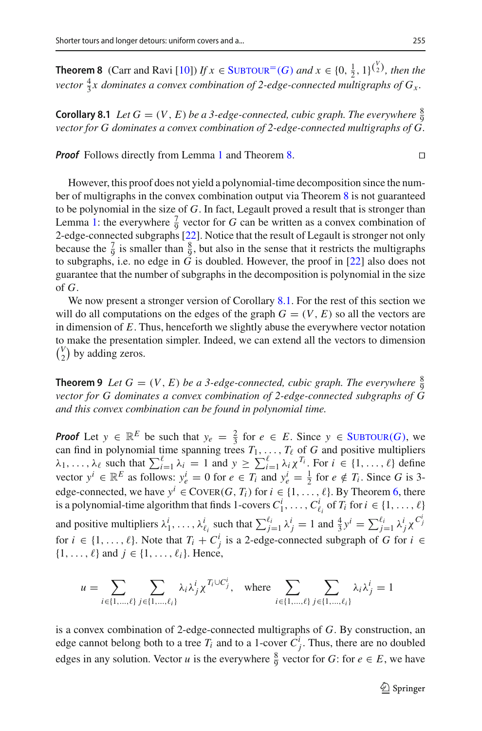<span id="page-10-0"></span>**Theorem 8** (Carr and Ravi [\[10](#page-27-7)]) *If*  $x \in$  SUBTOUR<sup>=</sup>(*G*) *and*  $x \in \{0, \frac{1}{2}, 1\}^{\binom{V}{2}}$ *, then the* vector  $\frac{4}{3}x$  dominates a convex combination of 2-edge-connected multigraphs of  $G_x$ .

<span id="page-10-1"></span>**Corollary 8.1** *Let*  $G = (V, E)$  *be a 3-edge-connected, cubic graph. The everywhere*  $\frac{8}{9}$ *vector for G dominates a convex combination of 2-edge-connected multigraphs of G.*

*Proof* Follows directly from Lemma [1](#page-9-0) and Theorem [8.](#page-10-0)

However, this proof does not yield a polynomial-time decomposition since the number of multigraphs in the convex combination output via Theorem [8](#page-10-0) is not guaranteed to be polynomial in the size of *G*. In fact, Legault proved a result that is stronger than Lemma [1:](#page-9-0) the everywhere  $\frac{7}{9}$  vector for *G* can be written as a convex combination of 2-edge-connected subgraphs [\[22](#page-27-9)]. Notice that the result of Legault is stronger not only because the  $\frac{7}{9}$  is smaller than  $\frac{8}{9}$ , but also in the sense that it restricts the multigraphs to subgraphs, i.e. no edge in  $\tilde{G}$  is doubled. However, the proof in [\[22](#page-27-9)] also does not guarantee that the number of subgraphs in the decomposition is polynomial in the size of *G*.

We now present a stronger version of Corollary [8.1.](#page-10-1) For the rest of this section we will do all computations on the edges of the graph  $G = (V, E)$  so all the vectors are in dimension of *E*. Thus, henceforth we slightly abuse the everywhere vector notation to make the presentation simpler. Indeed, we can extend all the vectors to dimension  $\binom{V}{2}$  by adding zeros.

<span id="page-10-2"></span>**Theorem 9** *Let*  $G = (V, E)$  *be a 3-edge-connected, cubic graph. The everywhere*  $\frac{8}{9}$ *vector for G dominates a convex combination of 2-edge-connected subgraphs of G and this convex combination can be found in polynomial time.*

*Proof* Let  $y \in \mathbb{R}^E$  be such that  $y_e = \frac{2}{3}$  for  $e \in E$ . Since  $y \in \text{SUBTOUR}(G)$ , we can find in polynomial time spanning trees  $T_1, \ldots, T_\ell$  of *G* and positive multipliers  $\lambda_1, \ldots, \lambda_\ell$  such that  $\sum_{i=1}^\ell \lambda_i = 1$  and  $y \ge \sum_{i=1}^\ell \lambda_i \chi^{T_i}$ . For  $i \in \{1, \ldots, \ell\}$  define vector  $y^i \in \mathbb{R}^E$  as follows:  $y_e^i = 0$  for  $e \in T_i$  and  $y_e^i = \frac{1}{2}$  for  $e \notin T_i$ . Since *G* is 3edge-connected, we have  $y^i \in \text{CovER}(G, T_i)$  for  $i \in \{1, ..., \ell\}$ . By Theorem [6,](#page-7-1) there is a polynomial-time algorithm that finds 1-covers  $C_1^i, \ldots, C_{\ell_i}^i$  of  $T_i$  for  $i \in \{1, \ldots, \ell\}$ and positive multipliers  $\lambda_1^i, \ldots, \lambda_{\ell_i}^i$  such that  $\sum_{j=1}^{\ell_i} \lambda_j^i = 1$  and  $\frac{4}{3}y^i = \sum_{j=1}^{\ell_i} \lambda_j^i \chi^{C_j^i}$ for  $i \in \{1, \ldots, \ell\}$ . Note that  $T_i + C_j^i$  is a 2-edge-connected subgraph of *G* for  $i \in$  $\{1,\ldots,\ell\}$  and  $j \in \{1,\ldots,\ell_i\}$ . Hence,

$$
u = \sum_{i \in \{1, ..., \ell\}} \sum_{j \in \{1, ..., \ell_i\}} \lambda_i \lambda_j^i \chi^{T_i \cup C_j^i}, \quad \text{where} \sum_{i \in \{1, ..., \ell\}} \sum_{j \in \{1, ..., \ell_i\}} \lambda_i \lambda_j^i = 1
$$

is a convex combination of 2-edge-connected multigraphs of *G*. By construction, an edge cannot belong both to a tree  $T_i$  and to a 1-cover  $C_j^i$ . Thus, there are no doubled edges in any solution. Vector *u* is the everywhere  $\frac{8}{9}$  vector for *G*: for *e*  $\in$  *E*, we have

 $\Box$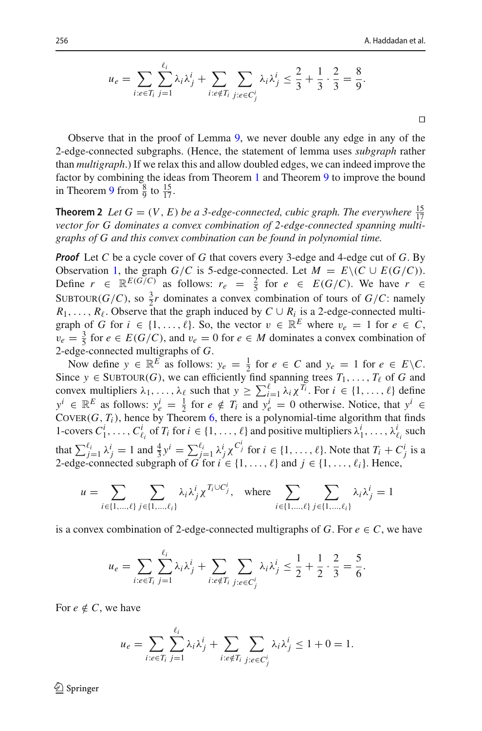$$
u_e = \sum_{i:e \in T_i} \sum_{j=1}^{\ell_i} \lambda_i \lambda_j^i + \sum_{i:e \notin T_i} \sum_{j:e \in C_j^i} \lambda_i \lambda_j^i \le \frac{2}{3} + \frac{1}{3} \cdot \frac{2}{3} = \frac{8}{9}.
$$

Ч

Observe that in the proof of Lemma [9,](#page-10-2) we never double any edge in any of the 2-edge-connected subgraphs. (Hence, the statement of lemma uses *subgraph* rather than *multigraph*.) If we relax this and allow doubled edges, we can indeed improve the factor by combining the ideas from Theorem [1](#page-2-1) and Theorem [9](#page-10-2) to improve the bound in Theorem [9](#page-10-2) from  $\frac{8}{9}$  to  $\frac{15}{17}$ .

**Theorem 2** *Let*  $G = (V, E)$  *be a 3-edge-connected, cubic graph. The everywhere*  $\frac{15}{17}$ *vector for G dominates a convex combination of 2-edge-connected spanning multigraphs of G and this convex combination can be found in polynomial time.*

*Proof* Let *C* be a cycle cover of *G* that covers every 3-edge and 4-edge cut of *G*. By Observation [1,](#page-6-2) the graph *G*/*C* is 5-edge-connected. Let  $M = E \setminus (C \cup E(G/C))$ . Define  $r \in \mathbb{R}^{E(G/C)}$  as follows:  $r_e = \frac{2}{5}$  for  $e \in E(G/C)$ . We have  $r \in$ SUBTOUR(*G*/*C*), so  $\frac{3}{2}r$  dominates a convex combination of tours of *G*/*C*: namely  $R_1, \ldots, R_\ell$ . Observe that the graph induced by  $C \cup R_i$  is a 2-edge-connected multigraph of *G* for  $i \in \{1, ..., \ell\}$ . So, the vector  $v \in \mathbb{R}^E$  where  $v_e = 1$  for  $e \in C$ ,  $v_e = \frac{3}{5}$  for  $e \in E(G/C)$ , and  $v_e = 0$  for  $e \in M$  dominates a convex combination of 2-edge-connected multigraphs of *G*.

Now define  $y \in \mathbb{R}^E$  as follows:  $y_e = \frac{1}{2}$  for  $e \in C$  and  $y_e = 1$  for  $e \in E \setminus C$ . Since  $y \in \text{SUBTOUR}(G)$ , we can efficiently find spanning trees  $T_1, \ldots, T_\ell$  of *G* and convex multipliers  $\lambda_1, \ldots, \lambda_\ell$  such that  $y \ge \sum_{i=1}^\ell \lambda_i \chi^{T_i}$ . For  $i \in \{1, \ldots, \ell\}$  define  $y^i \in \mathbb{R}^E$  as follows:  $y_e^i = \frac{1}{2}$  for  $e \notin T_i$  and  $y_e^i = 0$  otherwise. Notice, that  $y^i \in$ COVER( $G$ ,  $T_i$ ), hence by Theorem [6,](#page-7-1) there is a polynomial-time algorithm that finds 1-covers  $C_1^i, \ldots, C_{\ell_i}^i$  of  $T_i$  for  $i \in \{1, \ldots, \ell\}$  and positive multipliers  $\lambda_1^i, \ldots, \lambda_{\ell_i}^i$  such that  $\sum_{j=1}^{\ell_i} \lambda_j^i = 1$  and  $\frac{4}{3}y^i = \sum_{j=1}^{\ell_i} \lambda_j^i \chi^{C_j^i}$  for  $i \in \{1, \ldots, \ell\}$ . Note that  $T_i + C_j^i$  is a 2-edge-connected subgraph of *G* for  $i \in \{1, ..., \ell\}$  and  $j \in \{1, ..., \ell_i\}$ . Hence,

$$
u = \sum_{i \in \{1, \dots, \ell\}} \sum_{j \in \{1, \dots, \ell_i\}} \lambda_i \lambda_j^i \chi^{T_i \cup C_j^i}, \quad \text{where} \sum_{i \in \{1, \dots, \ell\}} \sum_{j \in \{1, \dots, \ell_i\}} \lambda_i \lambda_j^i = 1
$$

is a convex combination of 2-edge-connected multigraphs of *G*. For  $e \in C$ , we have

$$
u_e = \sum_{i:e \in T_i} \sum_{j=1}^{\ell_i} \lambda_i \lambda_j^i + \sum_{i:e \notin T_i} \sum_{j:e \in C_j^i} \lambda_i \lambda_j^i \le \frac{1}{2} + \frac{1}{2} \cdot \frac{2}{3} = \frac{5}{6}.
$$

For  $e \notin C$ , we have

$$
u_e = \sum_{i:e \in T_i} \sum_{j=1}^{\ell_i} \lambda_i \lambda_j^i + \sum_{i:e \notin T_i} \sum_{j:e \in C_j^i} \lambda_i \lambda_j^i \le 1 + 0 = 1.
$$

 $\mathcal{L}$  Springer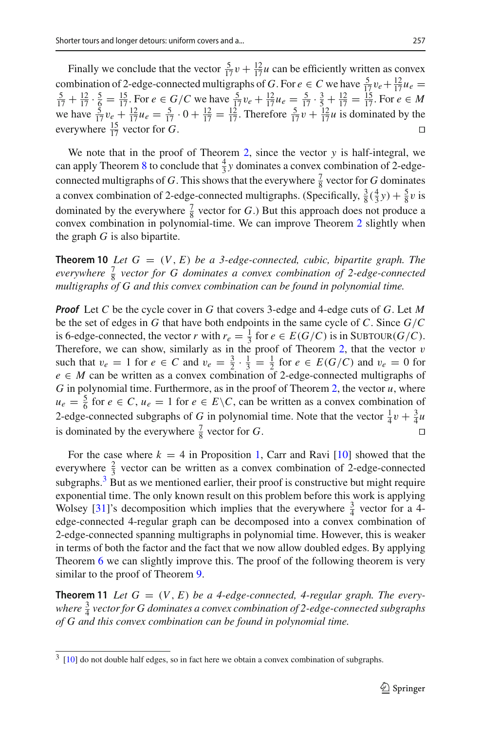Finally we conclude that the vector  $\frac{5}{17}v + \frac{12}{17}u$  can be efficiently written as convex combination of 2-edge-connected multigraphs of *G*. For  $e \in C$  we have  $\frac{5}{17}v_e + \frac{12}{17}v_e$ combination of 2-edge-connected multigraphs of *G*. For  $e \in C$  we have  $\frac{5}{17}v_e + \frac{12}{17}u_e = \frac{5}{17} + \frac{12}{17} \cdot \frac{5}{5} = \frac{15}{17}$ . For  $e \in G/C$  we have  $\frac{5}{17}v_e + \frac{12}{17}u_e = \frac{5}{17} \cdot \frac{3}{5} + \frac{12}{17} = \frac{15}{17}$ . Fo we have  $\frac{5}{17}v_e + \frac{12}{17}u_e = \frac{5}{17} \cdot 0 + \frac{12}{17} = \frac{12}{17}$ . Therefore  $\frac{5}{17}v + \frac{12}{17}u$  is dominated by the everywhere  $\frac{15}{17}$  vector for *G*. Ч

We note that in the proof of Theorem [2,](#page-2-2) since the vector *y* is half-integral, we can apply Theorem [8](#page-10-0) to conclude that  $\frac{4}{3}y$  dominates a convex combination of 2-edgeconnected multigraphs of *G*. This shows that the everywhere  $\frac{7}{8}$  vector for *G* dominates a convex combination of 2-edge-connected multigraphs. (Specifically,  $\frac{3}{8}(\frac{4}{3}y) + \frac{5}{8}v$  is dominated by the everywhere  $\frac{7}{8}$  vector for *G*.) But this approach does not produce a convex combination in polynomial-time. We can improve Theorem [2](#page-2-2) slightly when the graph  $G$  is also bipartite.

**Theorem 10** *Let*  $G = (V, E)$  *be a 3-edge-connected, cubic, bipartite graph. The everywhere*  $\frac{7}{8}$  *vector for G dominates a convex combination of 2-edge-connected multigraphs of G and this convex combination can be found in polynomial time.*

*Proof* Let *C* be the cycle cover in *G* that covers 3-edge and 4-edge cuts of *G*. Let *M* be the set of edges in *G* that have both endpoints in the same cycle of *C*. Since *G*/*C* is 6-edge-connected, the vector *r* with  $r_e = \frac{1}{3}$  for  $e \in E(G/C)$  is in SUBTOUR( $G/C$ ). Therefore, we can show, similarly as in the proof of Theorem [2,](#page-2-2) that the vector  $v$ such that  $v_e = 1$  for  $e \in C$  and  $v_e = \frac{3}{2} \cdot \frac{1}{3} = \frac{1}{2}$  for  $e \in E(G/C)$  and  $v_e = 0$  for  $e \in M$  can be written as a convex combination of 2-edge-connected multigraphs of *G* in polynomial time. Furthermore, as in the proof of Theorem [2,](#page-2-2) the vector  $u$ , where  $u_e = \frac{5}{6}$  for  $e \in C$ ,  $u_e = 1$  for  $e \in E \backslash C$ , can be written as a convex combination of 2-edge-connected subgraphs of *G* in polynomial time. Note that the vector  $\frac{1}{4}v + \frac{3}{4}u$ is dominated by the everywhere  $\frac{7}{8}$  vector for *G*.  $\Box$ 

For the case where  $k = 4$  in Proposition [1,](#page-1-1) Carr and Ravi  $[10]$  $[10]$  showed that the everywhere  $\frac{2}{3}$  vector can be written as a convex combination of 2-edge-connected subgraphs. $3\text{ B}$ ut as we mentioned earlier, their proof is constructive but might require exponential time. The only known result on this problem before this work is applying Wolsey [\[31](#page-28-1)]'s decomposition which implies that the everywhere  $\frac{3}{4}$  vector for a 4edge-connected 4-regular graph can be decomposed into a convex combination of 2-edge-connected spanning multigraphs in polynomial time. However, this is weaker in terms of both the factor and the fact that we now allow doubled edges. By applying Theorem [6](#page-7-1) we can slightly improve this. The proof of the following theorem is very similar to the proof of Theorem [9.](#page-10-2)

<span id="page-12-1"></span>**Theorem 11** Let  $G = (V, E)$  be a 4-edge-connected, 4-regular graph. The everywhere  $\frac{3}{4}$  vector for G dominates a convex combination of 2-edge-connected subgraphs *of G and this convex combination can be found in polynomial time.*

<span id="page-12-0"></span> $3 \t[10]$  $3 \t[10]$  $3 \t[10]$  do not double half edges, so in fact here we obtain a convex combination of subgraphs.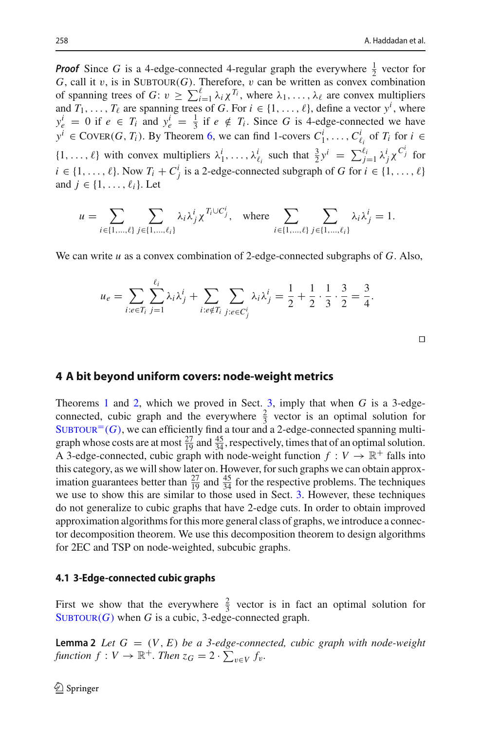**Proof** Since *G* is a 4-edge-connected 4-regular graph the everywhere  $\frac{1}{2}$  vector for  $G$ , call it v, is in SUBTOUR( $G$ ). Therefore, v can be written as convex combination of spanning trees of  $G: v \ge \sum_{i=1}^{\ell} \lambda_i \chi^{T_i}$ , where  $\lambda_1, \ldots, \lambda_{\ell}$  are convex multipliers and  $T_1, \ldots, T_\ell$  are spanning trees of *G*. For  $i \in \{1, \ldots, \ell\}$ , define a vector  $y^i$ , where  $y_e^i = 0$  if  $e \in T_i$  and  $y_e^i = \frac{1}{3}$  if  $e \notin T_i$ . Since *G* is 4-edge-connected we have *y*<sup>*i*</sup> ∈ COVER(*G*, *T<sub>i</sub>*). By Theorem [6,](#page-7-1) we can find 1-covers  $C_1^i$ ,...,  $C_{\ell_i}^i$  of  $T_i$  for  $i$  ∈  $\{1, \ldots, \ell\}$  with convex multipliers  $\lambda_1^i, \ldots, \lambda_{\ell_i}^i$  such that  $\frac{3}{2}y^i = \sum_{j=1}^{\ell_i} \lambda_j^i \chi^{C_j^i}$  for  $i \in \{1, \ldots, \ell\}$ . Now  $T_i + C_j^i$  is a 2-edge-connected subgraph of *G* for  $i \in \{1, \ldots, \ell\}$ and  $j \in \{1, \ldots, \ell_i\}$ . Let

$$
u = \sum_{i \in \{1, ..., \ell\}} \sum_{j \in \{1, ..., \ell_i\}} \lambda_i \lambda_j^i \chi^{T_i \cup C_j^i}, \text{ where } \sum_{i \in \{1, ..., \ell\}} \sum_{j \in \{1, ..., \ell_i\}} \lambda_i \lambda_j^i = 1.
$$

We can write *u* as a convex combination of 2-edge-connected subgraphs of *G*. Also,

$$
u_e = \sum_{i:e \in T_i} \sum_{j=1}^{\ell_i} \lambda_i \lambda_j^i + \sum_{i:e \notin T_i} \sum_{j:e \in C_j^i} \lambda_i \lambda_j^i = \frac{1}{2} + \frac{1}{2} \cdot \frac{1}{3} \cdot \frac{3}{2} = \frac{3}{4}.
$$

Ч

### <span id="page-13-0"></span>**4 A bit beyond uniform covers: node-weight metrics**

Theorems [1](#page-2-1) and [2,](#page-2-2) which we proved in Sect. [3,](#page-7-0) imply that when *G* is a 3-edgeconnected, cubic graph and the everywhere  $\frac{2}{3}$  vector is an optimal solution for  $SUBTOUR<sup>=(G)</sup>$ , we can efficiently find a tour and a 2-edge-connected spanning multigraph whose costs are at most  $\frac{27}{19}$  and  $\frac{45}{34}$ , respectively, times that of an optimal solution. A 3-edge-connected, cubic graph with node-weight function  $f: V \to \mathbb{R}^+$  falls into this category, as we will show later on. However, for such graphs we can obtain approximation guarantees better than  $\frac{27}{19}$  and  $\frac{45}{34}$  for the respective problems. The techniques we use to show this are similar to those used in Sect. [3.](#page-7-0) However, these techniques do not generalize to cubic graphs that have 2-edge cuts. In order to obtain improved approximation algorithms for this more general class of graphs, we introduce a connector decomposition theorem. We use this decomposition theorem to design algorithms for 2EC and TSP on node-weighted, subcubic graphs.

#### **4.1 3-Edge-connected cubic graphs**

First we show that the everywhere  $\frac{2}{3}$  vector is in fact an optimal solution for  $SUBTOUR(G)$  when *G* is a cubic, 3-edge-connected graph.

**Lemma 2** *Let*  $G = (V, E)$  *be a 3-edge-connected, cubic graph with node-weight*  $f$  *function*  $f: V \to \mathbb{R}^+$ *. Then*  $z_G = 2 \cdot \sum_{v \in V} f_v$ *.*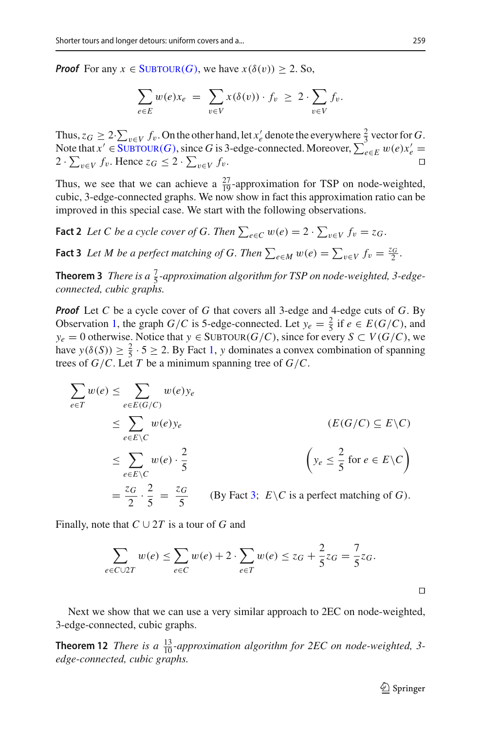*Proof* For any  $x \in \text{SUBTOUR}(G)$ , we have  $x(\delta(v)) \geq 2$ . So,

$$
\sum_{e \in E} w(e) x_e = \sum_{v \in V} x(\delta(v)) \cdot f_v \ge 2 \cdot \sum_{v \in V} f_v.
$$

Thus,  $z_G \geq 2 \cdot \sum_{v \in V} f_v$ . On the other hand, let  $x'_e$  denote the everywhere  $\frac{2}{3}$  vector for *G*. Note that  $x' \in \text{SUBTOUR}(G)$ , since *G* is 3-edge-connected. Moreover,  $\sum_{e \in E} w(e) x'_e =$ 2 ⋅  $\sum_{v \in V} f_v$ . Hence  $z_G \leq 2 \cdot \sum_{v \in V} f_v$ .  $\Box$ 

Thus, we see that we can achieve a  $\frac{27}{19}$ -approximation for TSP on node-weighted, cubic, 3-edge-connected graphs. We now show in fact this approximation ratio can be improved in this special case. We start with the following observations.

**Fact 2** Let C be a cycle cover of G. Then  $\sum_{e \in C} w(e) = 2 \cdot \sum_{v \in V} f_v = z_G$ .

<span id="page-14-0"></span>**Fact 3** *Let M be a perfect matching of G. Then*  $\sum_{e \in M} w(e) = \sum_{v \in V} f_v = \frac{z_G}{2}$ .

**Theorem 3** *There is a*  $\frac{7}{5}$ -approximation algorithm for TSP on node-weighted, 3-edge*connected, cubic graphs.*

*Proof* Let *C* be a cycle cover of *G* that covers all 3-edge and 4-edge cuts of *G*. By Observation [1,](#page-6-2) the graph *G*/*C* is 5-edge-connected. Let  $y_e = \frac{2}{5}$  if  $e \in E(G/C)$ , and *y*<sub>*e*</sub> = 0 otherwise. Notice that *y* ∈ SUBTOUR(*G*/*C*), since for every *S* ⊂ *V*(*G*/*C*), we have  $y(\delta(S)) \ge \frac{2}{5} \cdot 5 \ge 2$ . By Fact [1,](#page-5-3) *y* dominates a convex combination of spanning trees of *G*/*C*. Let *T* be a minimum spanning tree of *G*/*C*.

$$
\sum_{e \in T} w(e) \le \sum_{e \in E(G/C)} w(e) y_e
$$
\n
$$
\le \sum_{e \in E \setminus C} w(e) y_e
$$
\n
$$
\le \sum_{e \in E \setminus C} w(e) \cdot \frac{2}{5}
$$
\n
$$
\le \sum_{e \in E \setminus C} w(e) \cdot \frac{2}{5}
$$
\n
$$
\left(y_e \le \frac{2}{5} \text{ for } e \in E \setminus C\right)
$$
\n
$$
= \frac{z_G}{2} \cdot \frac{2}{5} = \frac{z_G}{5} \qquad \text{(By Fact 3; } E \setminus C \text{ is a perfect matching of } G\text{).}
$$

Finally, note that  $C \cup 2T$  is a tour of G and

$$
\sum_{e \in C \cup 2T} w(e) \le \sum_{e \in C} w(e) + 2 \cdot \sum_{e \in T} w(e) \le z_G + \frac{2}{5} z_G = \frac{7}{5} z_G.
$$

<span id="page-14-1"></span>Next we show that we can use a very similar approach to 2EC on node-weighted, 3-edge-connected, cubic graphs.

**Theorem 12** *There is a*  $\frac{13}{10}$ *-approximation algorithm for 2EC on node-weighted, 3edge-connected, cubic graphs.*

Ч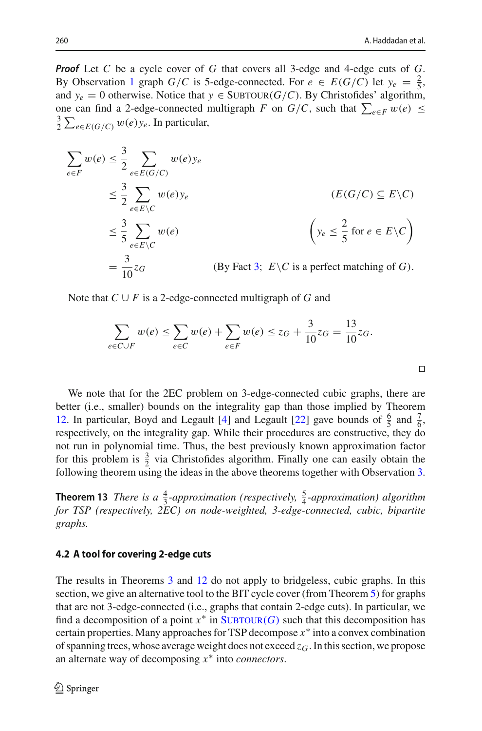*Proof* Let *C* be a cycle cover of *G* that covers all 3-edge and 4-edge cuts of *G*. By Observation [1](#page-6-2) graph *G*/*C* is 5-edge-connected. For  $e \in E(G/C)$  let  $y_e = \frac{2}{5}$ , and  $y_e = 0$  otherwise. Notice that  $y \in SUBTOUR(G/C)$ . By Christofides' algorithm, one can find a 2-edge-connected multigraph *F* on *G*/*C*, such that  $\sum_{e \in F} w(e) \le$  $\frac{3}{2} \sum_{e \in E(G/C)} w(e) y_e$ . In particular,

$$
\sum_{e \in F} w(e) \le \frac{3}{2} \sum_{e \in E(G/C)} w(e) y_e
$$
\n
$$
\le \frac{3}{2} \sum_{e \in E \setminus C} w(e) y_e
$$
\n
$$
\le \frac{3}{5} \sum_{e \in E \setminus C} w(e)
$$
\n
$$
\le \frac{3}{5} \sum_{e \in E \setminus C} w(e)
$$
\n
$$
= \frac{3}{10} z_G
$$
\n
$$
(By Fact 3; E\setminus C is a perfect matching of G).
$$

Note that  $C \cup F$  is a 2-edge-connected multigraph of *G* and

$$
\sum_{e \in C \cup F} w(e) \le \sum_{e \in C} w(e) + \sum_{e \in F} w(e) \le z_G + \frac{3}{10} z_G = \frac{13}{10} z_G.
$$

We note that for the 2EC problem on 3-edge-connected cubic graphs, there are better (i.e., smaller) bounds on the integrality gap than those implied by Theorem [12.](#page-14-1) In particular, Boyd and Legault [\[4](#page-27-8)] and Legault [\[22\]](#page-27-9) gave bounds of  $\frac{6}{5}$  and  $\frac{7}{6}$ , respectively, on the integrality gap. While their procedures are constructive, they do not run in polynomial time. Thus, the best previously known approximation factor for this problem is  $\frac{3}{2}$  via Christofides algorithm. Finally one can easily obtain the following theorem using the ideas in the above theorems together with Observation [3.](#page-6-5)

**Theorem 13** *There is a*  $\frac{4}{3}$ *-approximation (respectively,*  $\frac{5}{4}$ *-approximation) algorithm for TSP (respectively, 2EC) on node-weighted, 3-edge-connected, cubic, bipartite graphs.*

#### <span id="page-15-0"></span>**4.2 A tool for covering 2-edge cuts**

The results in Theorems [3](#page-3-1) and [12](#page-14-1) do not apply to bridgeless, cubic graphs. In this section, we give an alternative tool to the BIT cycle cover (from Theorem [5\)](#page-6-4) for graphs that are not 3-edge-connected (i.e., graphs that contain 2-edge cuts). In particular, we find a decomposition of a point  $x^*$  in  $\text{SUBTOUR}(G)$  such that this decomposition has certain properties. Many approaches for TSP decompose *x*∗ into a convex combination of spanning trees, whose average weight does not exceed  $z_G$ . In this section, we propose an alternate way of decomposing *x*∗ into *connectors*.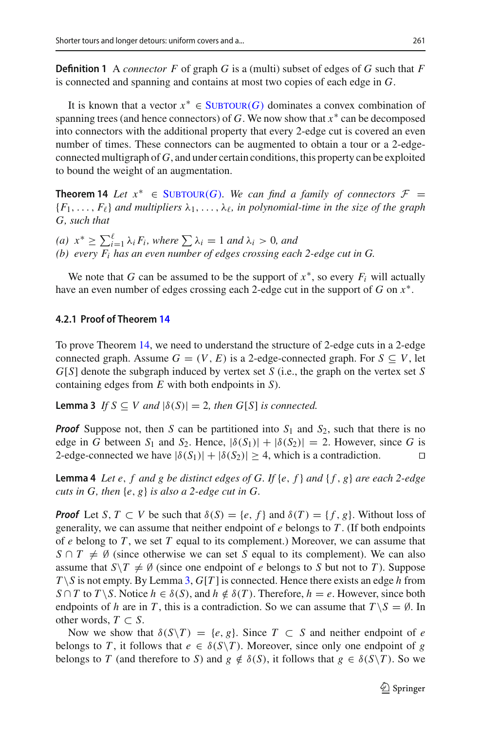**Definition 1** A *connector F* of graph *G* is a (multi) subset of edges of *G* such that *F* is connected and spanning and contains at most two copies of each edge in *G*.

It is known that a vector  $x^* \in \text{SUBTOUR}(G)$  dominates a convex combination of spanning trees (and hence connectors) of *G*. We now show that  $x^*$  can be decomposed into connectors with the additional property that every 2-edge cut is covered an even number of times. These connectors can be augmented to obtain a tour or a 2-edgeconnected multigraph of *G*, and under certain conditions, this property can be exploited to bound the weight of an augmentation.

<span id="page-16-0"></span>**Theorem 14** *Let*  $x^* \in$  SUBTOUR(*G*)*. We can find a family of connectors*  $\mathcal{F} =$  ${F_1, \ldots, F_\ell}$  *and multipliers*  $\lambda_1, \ldots, \lambda_\ell$ *, in polynomial-time in the size of the graph G, such that*

 $(a)$  *x*<sup>∗</sup> ≥  $\sum_{i=1}^{\ell} \lambda_i F_i$ *, where*  $\sum_{i=1} \lambda_i = 1$  *and*  $\lambda_i > 0$ *, and (b) every Fi has an even number of edges crossing each 2-edge cut in G.*

We note that *G* can be assumed to be the support of  $x^*$ , so every  $F_i$  will actually have an even number of edges crossing each 2-edge cut in the support of *G* on *x*∗.

#### **4.2.1 Proof of Theorem [14](#page-16-0)**

<span id="page-16-1"></span>To prove Theorem [14,](#page-16-0) we need to understand the structure of 2-edge cuts in a 2-edge connected graph. Assume  $G = (V, E)$  is a 2-edge-connected graph. For  $S \subseteq V$ , let *G*[*S*] denote the subgraph induced by vertex set *S* (i.e., the graph on the vertex set *S* containing edges from *E* with both endpoints in *S*).

**Lemma 3** *If*  $S \subseteq V$  *and*  $|\delta(S)| = 2$ *, then G*[*S*] *is connected.* 

*Proof* Suppose not, then *S* can be partitioned into *S*<sup>1</sup> and *S*2, such that there is no edge in *G* between  $S_1$  and  $S_2$ . Hence,  $|\delta(S_1)| + |\delta(S_2)| = 2$ . However, since *G* is 2-edge-connected we have  $|\delta(S_1)|+|\delta(S_2)| \geq 4$ , which is a contradiction. П

<span id="page-16-2"></span>**Lemma 4** *Let e*, *f and g be distinct edges of G. If* {*e*, *f* } *and* { *f* , *g*} *are each 2-edge cuts in G, then* {*e*, *g*} *is also a 2-edge cut in G.*

*Proof* Let *S*,  $T \subset V$  be such that  $\delta(S) = \{e, f\}$  and  $\delta(T) = \{f, g\}$ . Without loss of generality, we can assume that neither endpoint of *e* belongs to *T* . (If both endpoints of *e* belong to *T* , we set *T* equal to its complement.) Moreover, we can assume that  $S \cap T \neq \emptyset$  (since otherwise we can set *S* equal to its complement). We can also assume that  $S \setminus T \neq \emptyset$  (since one endpoint of *e* belongs to *S* but not to *T*). Suppose  $T \setminus S$  is not empty. By Lemma [3,](#page-16-1)  $G[T]$  is connected. Hence there exists an edge *h* from *S* ∩ *T* to *T* \ *S*. Notice  $h \in \delta(S)$ , and  $h \notin \delta(T)$ . Therefore,  $h = e$ . However, since both endpoints of *h* are in *T*, this is a contradiction. So we can assume that  $T \ S = \emptyset$ . In other words,  $T \subset S$ .

Now we show that  $\delta(S\Y) = \{e, g\}$ . Since  $T \subset S$  and neither endpoint of *e* belongs to *T*, it follows that  $e \in \delta(S \setminus T)$ . Moreover, since only one endpoint of *g* belongs to *T* (and therefore to *S*) and  $g \notin \delta(S)$ , it follows that  $g \in \delta(S \setminus T)$ . So we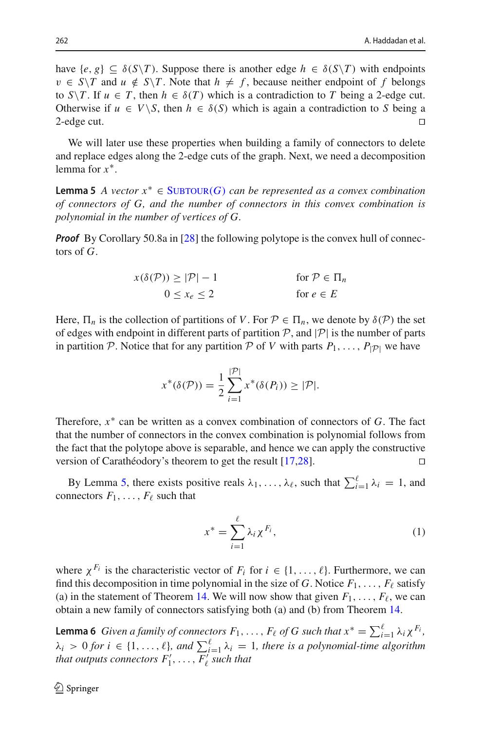have  $\{e, g\} \subseteq \delta(S\setminus T)$ . Suppose there is another edge  $h \in \delta(S\setminus T)$  with endpoints  $v \in S \setminus T$  and  $u \notin S \setminus T$ . Note that  $h \neq f$ , because neither endpoint of f belongs to *S*\*T*. If  $u \in T$ , then  $h \in \delta(T)$  which is a contradiction to *T* being a 2-edge cut. Otherwise if  $u \in V \setminus S$ , then  $h \in \delta(S)$  which is again a contradiction to *S* being a 2-edge cut.  $2$ -edge cut.  $\Box$ 

We will later use these properties when building a family of connectors to delete and replace edges along the 2-edge cuts of the graph. Next, we need a decomposition lemma for *x*∗.

<span id="page-17-0"></span>**Lemma 5** *A vector*  $x^*$  ∈ SUBTOUR(*G*) *can be represented as a convex combination of connectors of G, and the number of connectors in this convex combination is polynomial in the number of vertices of G.*

*Proof* By Corollary 50.8a in [\[28\]](#page-28-7) the following polytope is the convex hull of connectors of *G*.

$$
x(\delta(\mathcal{P})) \ge |\mathcal{P}| - 1 \qquad \text{for } \mathcal{P} \in \Pi_n
$$
  
 
$$
0 \le x_e \le 2 \qquad \text{for } e \in E
$$

Here,  $\Pi_n$  is the collection of partitions of *V*. For  $P \in \Pi_n$ , we denote by  $\delta(P)$  the set of edges with endpoint in different parts of partition  $P$ , and  $|P|$  is the number of parts in partition *P*. Notice that for any partition *P* of *V* with parts  $P_1, \ldots, P_{|\mathcal{P}|}$  we have

$$
x^*(\delta(\mathcal{P})) = \frac{1}{2} \sum_{i=1}^{|\mathcal{P}|} x^*(\delta(P_i)) \geq |\mathcal{P}|.
$$

Therefore, *x*∗ can be written as a convex combination of connectors of *G*. The fact that the number of connectors in the convex combination is polynomial follows from the fact that the polytope above is separable, and hence we can apply the constructive version of Carathéodory's theorem to get the result [\[17](#page-27-17)[,28\]](#page-28-7). Ч

By Lemma [5,](#page-17-0) there exists positive reals  $\lambda_1, \ldots, \lambda_\ell$ , such that  $\sum_{i=1}^\ell \lambda_i = 1$ , and connectors  $F_1, \ldots, F_\ell$  such that

$$
x^* = \sum_{i=1}^{\ell} \lambda_i \chi^{F_i},\tag{1}
$$

where  $\chi^{F_i}$  is the characteristic vector of  $F_i$  for  $i \in \{1, \ldots, \ell\}$ . Furthermore, we can find this decomposition in time polynomial in the size of  $G$ . Notice  $F_1, \ldots, F_\ell$  satisfy (a) in the statement of Theorem [14.](#page-16-0) We will now show that given  $F_1, \ldots, F_\ell$ , we can obtain a new family of connectors satisfying both (a) and (b) from Theorem [14.](#page-16-0)

<span id="page-17-1"></span>**Lemma 6** *Given a family of connectors*  $F_1, \ldots, F_\ell$  *of G such that*  $x^* = \sum_{i=1}^\ell \lambda_i \chi^{F_i}$ ,  $\lambda_i > 0$  for  $i \in \{1, \ldots, \ell\}$ , and  $\sum_{i=1}^{\ell} \lambda_i = 1$ , there is a polynomial-time algorithm that outputs connectors  $F'_1,\,\ldots,\,F'_\ell$  such that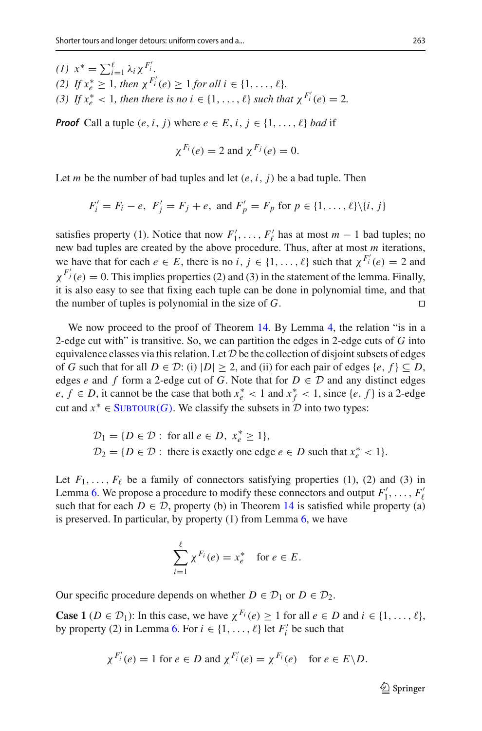*(1)*  $x^* = \sum_{i=1}^{\ell} \lambda_i x^{F'_i}$ . *(2) If*  $x_e^* \geq 1$ *, then*  $\chi^{F'_i}(e) \geq 1$  *for all*  $i \in \{1, ..., \ell\}$ *. (3) If*  $x_e^* < 1$ *, then there is no*  $i \in \{1, ..., \ell\}$  *such that*  $\chi^{F'_i}(e) = 2$ *.* 

*Proof* Call a tuple  $(e, i, j)$  where  $e \in E, i, j \in \{1, \ldots, \ell\}$  *bad* if

$$
\chi^{F_i}(e) = 2 \text{ and } \chi^{F_j}(e) = 0.
$$

Let *m* be the number of bad tuples and let  $(e, i, j)$  be a bad tuple. Then

$$
F'_i = F_i - e
$$
,  $F'_j = F_j + e$ , and  $F'_p = F_p$  for  $p \in \{1, ..., \ell\} \setminus \{i, j\}$ 

satisfies property (1). Notice that now  $F'_1, \ldots, F'_\ell$  has at most  $m-1$  bad tuples; no new bad tuples are created by the above procedure. Thus, after at most *m* iterations, we have that for each  $e \in E$ , there is no  $i, j \in \{1, ..., \ell\}$  such that  $\chi^{F_i'}(e) = 2$  and  $\chi^{F_j'}(e) = 0$ . This implies properties (2) and (3) in the statement of the lemma. Finally, it is also easy to see that fixing each tuple can be done in polynomial time, and that the number of tuples is polynomial in the size of *G*.  $\Box$ 

We now proceed to the proof of Theorem [14.](#page-16-0) By Lemma [4,](#page-16-2) the relation "is in a 2-edge cut with" is transitive. So, we can partition the edges in 2-edge cuts of *G* into equivalence classes via this relation. Let *D* be the collection of disjoint subsets of edges of *G* such that for all  $D \in \mathcal{D}$ : (i)  $|D| \geq 2$ , and (ii) for each pair of edges  $\{e, f\} \subseteq D$ , edges *e* and *f* form a 2-edge cut of *G*. Note that for  $D \in \mathcal{D}$  and any distinct edges *e*, *f* ∈ *D*, it cannot be the case that both  $x_e^*$  < 1 and  $x_f^*$  < 1, since {*e*, *f* } is a 2-edge cut and  $x^* \in \text{SUBTOUR}(G)$ . We classify the subsets in  $D$  into two types:

$$
\mathcal{D}_1 = \{ D \in \mathcal{D} : \text{ for all } e \in D, x_e^* \ge 1 \},
$$
  

$$
\mathcal{D}_2 = \{ D \in \mathcal{D} : \text{ there is exactly one edge } e \in D \text{ such that } x_e^* < 1 \}.
$$

Let  $F_1, \ldots, F_\ell$  be a family of connectors satisfying properties (1), (2) and (3) in Lemma [6.](#page-17-1) We propose a procedure to modify these connectors and output  $F'_1, \ldots, F'_{\ell}$ such that for each  $D \in \mathcal{D}$ , property (b) in Theorem [14](#page-16-0) is satisfied while property (a) is preserved. In particular, by property (1) from Lemma [6,](#page-17-1) we have

$$
\sum_{i=1}^{\ell} \chi^{F_i}(e) = x_e^* \quad \text{for } e \in E.
$$

Our specific procedure depends on whether  $D \in \mathcal{D}_1$  or  $D \in \mathcal{D}_2$ .

**Case 1** ( $D \in \mathcal{D}_1$ ): In this case, we have  $\chi^{F_i}(e) \geq 1$  for all  $e \in D$  and  $i \in \{1, \ldots, \ell\}$ , by property (2) in Lemma [6.](#page-17-1) For  $i \in \{1, ..., \ell\}$  let  $F_i'$  be such that

$$
\chi^{F'_i}(e) = 1
$$
 for  $e \in D$  and  $\chi^{F'_i}(e) = \chi^{F_i}(e)$  for  $e \in E \backslash D$ .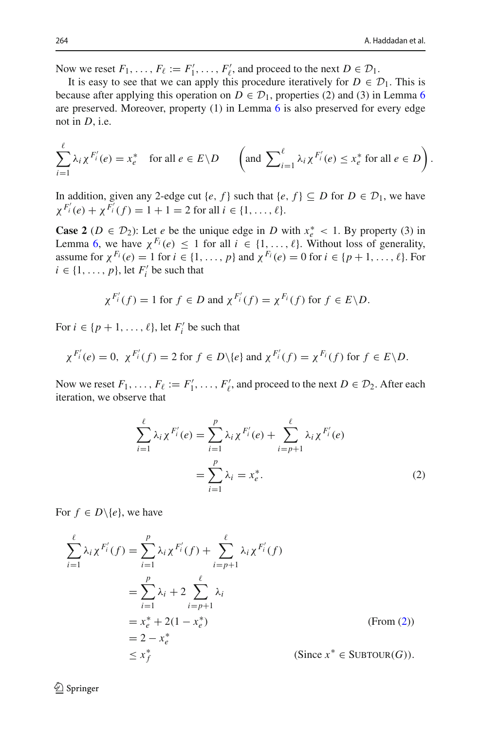Now we reset  $F_1, \ldots, F_\ell := F'_1, \ldots, F'_\ell$ , and proceed to the next  $D \in \mathcal{D}_1$ .

It is easy to see that we can apply this procedure iteratively for  $D \in \mathcal{D}_1$ . This is because after applying this operation on  $D \in \mathcal{D}_1$ , properties (2) and (3) in Lemma [6](#page-17-1) are preserved. Moreover, property (1) in Lemma [6](#page-17-1) is also preserved for every edge not in *D*, i.e.

$$
\sum_{i=1}^{\ell} \lambda_i \chi^{F'_i}(e) = x_e^* \quad \text{for all } e \in E \setminus D \qquad \left( \text{and } \sum_{i=1}^{\ell} \lambda_i \chi^{F'_i}(e) \le x_e^* \text{ for all } e \in D \right).
$$

In addition, given any 2-edge cut {*e*, *f*} such that {*e*, *f*}  $\subseteq$  *D* for *D*  $\in$  *D*<sub>1</sub>, we have  $\chi^{F'_i}(e) + \chi^{F'_i}(f) = 1 + 1 = 2$  for all  $i \in \{1, ..., \ell\}.$ 

**Case 2** ( $D \in \mathcal{D}_2$ ): Let *e* be the unique edge in *D* with  $x_e^* < 1$ . By property (3) in Lemma [6,](#page-17-1) we have  $\chi^{F_i}(e) \leq 1$  for all  $i \in \{1, ..., \ell\}$ . Without loss of generality, assume for  $\chi^{F_i}(e) = 1$  for  $i \in \{1, ..., p\}$  and  $\chi^{F_i}(e) = 0$  for  $i \in \{p+1, ..., \ell\}$ . For  $i \in \{1, \ldots, p\}$ , let  $F_i'$  be such that

$$
\chi^{F'_i}(f) = 1
$$
 for  $f \in D$  and  $\chi^{F'_i}(f) = \chi^{F_i}(f)$  for  $f \in E \backslash D$ .

For  $i \in \{p+1, \ldots, \ell\}$ , let  $F_i'$  be such that

$$
\chi^{F'_i}(e) = 0
$$
,  $\chi^{F'_i}(f) = 2$  for  $f \in D \setminus \{e\}$  and  $\chi^{F'_i}(f) = \chi^{F_i}(f)$  for  $f \in E \setminus D$ .

Now we reset  $F_1, \ldots, F_\ell := F'_1, \ldots, F'_\ell$ , and proceed to the next  $D \in \mathcal{D}_2$ . After each iteration, we observe that

<span id="page-19-0"></span>
$$
\sum_{i=1}^{\ell} \lambda_i \chi^{F'_i}(e) = \sum_{i=1}^p \lambda_i \chi^{F'_i}(e) + \sum_{i=p+1}^{\ell} \lambda_i \chi^{F'_i}(e)
$$

$$
= \sum_{i=1}^p \lambda_i = x_e^*.
$$
(2)

For  $f \in D \setminus \{e\}$ , we have

 $\mathcal{D}$  Springer

$$
\sum_{i=1}^{\ell} \lambda_i \chi^{F'_i}(f) = \sum_{i=1}^p \lambda_i \chi^{F'_i}(f) + \sum_{i=p+1}^{\ell} \lambda_i \chi^{F'_i}(f)
$$
  

$$
= \sum_{i=1}^p \lambda_i + 2 \sum_{i=p+1}^{\ell} \lambda_i
$$
  

$$
= x_e^* + 2(1 - x_e^*)
$$
  

$$
= 2 - x_e^*
$$
  

$$
\leq x_f^*
$$
 (Since  $x^* \in \text{SUBTOUR}(G)$ ).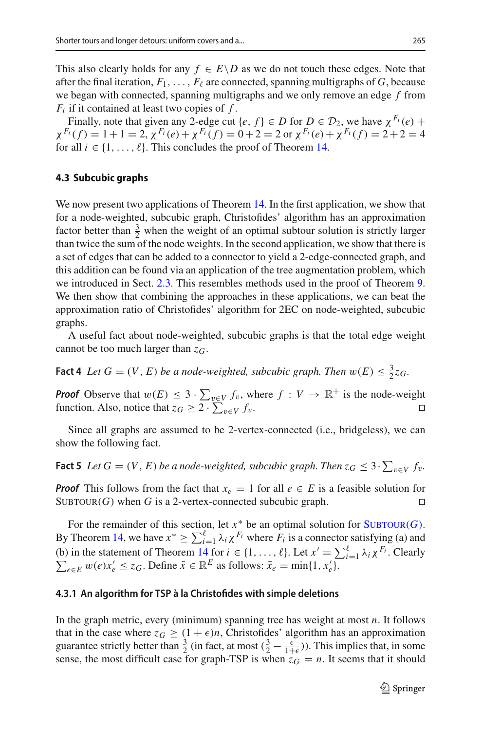This also clearly holds for any  $f \in E \backslash D$  as we do not touch these edges. Note that after the final iteration,  $F_1, \ldots, F_\ell$  are connected, spanning multigraphs of *G*, because we began with connected, spanning multigraphs and we only remove an edge *f* from *Fi* if it contained at least two copies of *f* .

Finally, note that given any 2-edge cut {*e*, *f*}  $\in$  *D* for *D*  $\in$  *D*<sub>2</sub>, we have  $\chi^{F_i}(e)$  +  $\chi^{F_i}(f) = 1 + 1 = 2, \chi^{F_i}(e) + \chi^{F_i}(f) = 0 + 2 = 2 \text{ or } \chi^{F_i}(e) + \chi^{F_i}(f) = 2 + 2 = 4$ for all  $i \in \{1, \ldots, \ell\}$ . This concludes the proof of Theorem [14.](#page-16-0)

#### **4.3 Subcubic graphs**

We now present two applications of Theorem [14.](#page-16-0) In the first application, we show that for a node-weighted, subcubic graph, Christofides' algorithm has an approximation factor better than  $\frac{3}{2}$  when the weight of an optimal subtour solution is strictly larger than twice the sum of the node weights. In the second application, we show that there is a set of edges that can be added to a connector to yield a 2-edge-connected graph, and this addition can be found via an application of the tree augmentation problem, which we introduced in Sect. [2.3.](#page-6-1) This resembles methods used in the proof of Theorem [9.](#page-10-2) We then show that combining the approaches in these applications, we can beat the approximation ratio of Christofides' algorithm for 2EC on node-weighted, subcubic graphs.

<span id="page-20-2"></span>A useful fact about node-weighted, subcubic graphs is that the total edge weight cannot be too much larger than *zG*.

**Fact 4** *Let*  $G = (V, E)$  *be a node-weighted, subcubic graph. Then*  $w(E) \leq \frac{3}{2}z_G$ .

*Proof* Observe that  $w(E) \leq 3 \cdot \sum_{v \in V} f_v$ , where  $f : V \to \mathbb{R}^+$  is the node-weight function. Also, notice that  $z_G \geq 2 \cdot \sum_{v \in V} f_v$ . function. Also, notice that  $z_G \geq 2 \cdot \sum$  $\Box$ 

<span id="page-20-1"></span>Since all graphs are assumed to be 2-vertex-connected (i.e., bridgeless), we can show the following fact.

**Fact 5** Let  $G = (V, E)$  be a node-weighted, subcubic graph. Then  $z_G \leq 3 \cdot \sum_{v \in V} f_v$ .

*Proof* This follows from the fact that  $x_e = 1$  for all  $e \in E$  is a feasible solution for  $SUBTOUR(G)$  when *G* is a 2-vertex-connected subcubic graph.  $\Box$ 

For the remainder of this section, let  $x^*$  be an optimal solution for  $\text{SUBTOUR}(G)$ . By Theorem [14,](#page-16-0) we have  $x^* \ge \sum_{i=1}^{\ell} \lambda_i \chi^{F_i}$  where  $\overline{F_i}$  is a connector satisfying (a) and (b) in the statement of Theorem [14](#page-16-0) for  $i \in \{1, ..., \ell\}$ . Let  $x' = \sum_{i=1}^{\ell} \lambda_i \chi^{F_i}$ . Clearly  $\sum_{e \in E} w(e) x'_e \le z_G$ . Define  $\bar{x} \in \mathbb{R}^E$  as follows:  $\bar{x}_e = \min\{1, x'_e\}$ .  $e \in E$  *w*(*e*)*x*<sub>*e*</sub>  $\le z_G$ . Define  $\bar{x} \in \mathbb{R}^E$  as follows:  $\bar{x}_e = \min\{1, x_e\}$ .

#### <span id="page-20-0"></span>**4.3.1 An algorithm for TSP à la Christofides with simple deletions**

In the graph metric, every (minimum) spanning tree has weight at most *n*. It follows that in the case where  $z_G \geq (1 + \epsilon)n$ , Christofides' algorithm has an approximation guarantee strictly better than  $\frac{3}{2}$  (in fact, at most  $(\frac{3}{2} - \frac{\epsilon}{1+\epsilon})$ ). This implies that, in some sense, the most difficult case for graph-TSP is when  $z_G = n$ . It seems that it should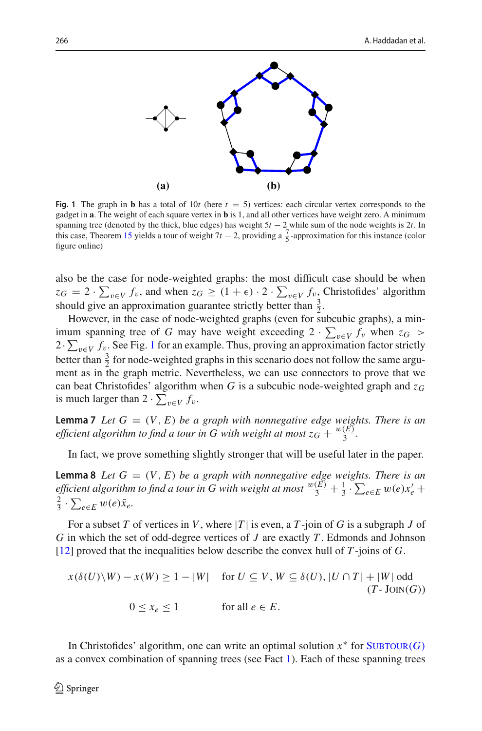

<span id="page-21-0"></span>**Fig. 1** The graph in **b** has a total of 10*t* (here  $t = 5$ ) vertices: each circular vertex corresponds to the gadget in **a**. The weight of each square vertex in **b** is 1, and all other vertices have weight zero. A minimum spanning tree (denoted by the thick, blue edges) has weight 5*t* − 2 while sum of the node weights is 2*t*. In this case, Theorem [15](#page-23-0) yields a tour of weight  $7t - 2$ , providing a  $\frac{7}{5}$ -approximation for this instance (color figure online)

also be the case for node-weighted graphs: the most difficult case should be when  $z_G = 2 \cdot \sum_{v \in V} f_v$ , and when  $z_G \geq (1 + \epsilon) \cdot 2 \cdot \sum_{v \in V} f_v$ , Christofides' algorithm should give an approximation guarantee strictly better than  $\frac{3}{2}$ .

However, in the case of node-weighted graphs (even for subcubic graphs), a minimum spanning tree of *G* may have weight exceeding  $2 \cdot \sum_{v \in V} f_v$  when  $z_G > 2 \cdot \sum_{v \in V} f_v$ 2·  $\sum_{v \in V} f_v$ . See Fig. [1](#page-21-0) for an example. Thus, proving an approximation factor strictly better than  $\frac{3}{2}$  for node-weighted graphs in this scenario does not follow the same argument as in the graph metric. Nevertheless, we can use connectors to prove that we can beat Christofides' algorithm when *G* is a subcubic node-weighted graph and *zG* is much larger than  $2 \cdot \sum_{v \in V} f_v$ .

<span id="page-21-2"></span>**Lemma 7** *Let*  $G = (V, E)$  *be a graph with nonnegative edge weights. There is an efficient algorithm to find a tour in G with weight at most*  $z_G + \frac{w(E)}{3}$ *.* 

<span id="page-21-3"></span>In fact, we prove something slightly stronger that will be useful later in the paper.

**Lemma 8** *Let*  $G = (V, E)$  *be a graph with nonnegative edge weights. There is an efficient algorithm to find a tour in G with weight at most*  $\frac{w(E)}{3} + \frac{1}{3} \cdot \sum_{e \in E} w(e) x_e' +$  $\frac{2}{3} \cdot \sum_{e \in E} w(e) \bar{x}_e.$ 

For a subset *T* of vertices in *V*, where  $|T|$  is even, a *T*-join of *G* is a subgraph *J* of *G* in which the set of odd-degree vertices of *J* are exactly *T* . Edmonds and Johnson [\[12](#page-27-21)] proved that the inequalities below describe the convex hull of *T* -joins of *G*.

<span id="page-21-1"></span>
$$
x(\delta(U)\setminus W) - x(W) \ge 1 - |W| \quad \text{for } U \subseteq V, W \subseteq \delta(U), |U \cap T| + |W| \text{ odd}
$$
  
(*T*-Join(*G*))  

$$
0 \le x_e \le 1 \qquad \text{for all } e \in E.
$$

In Christofides' algorithm, one can write an optimal solution  $x^*$  for  $\text{SUBTOUR}(G)$ as a convex combination of spanning trees (see Fact [1\)](#page-5-3). Each of these spanning trees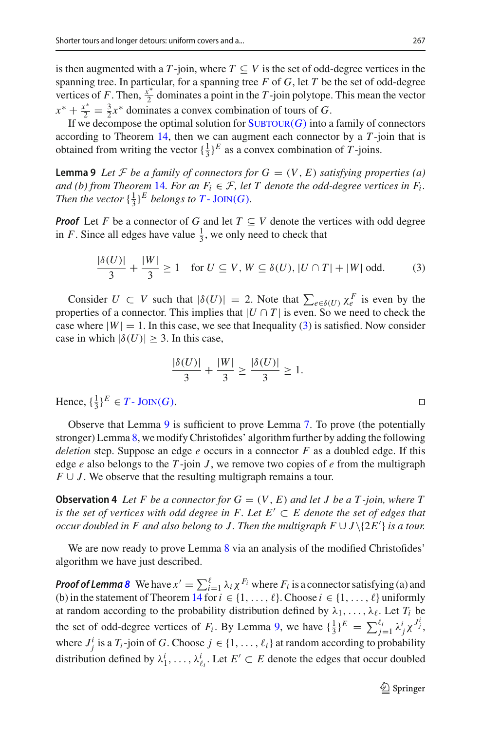is then augmented with a *T*-join, where  $T \subseteq V$  is the set of odd-degree vertices in the spanning tree. In particular, for a spanning tree *F* of *G*, let *T* be the set of odd-degree vertices of *F*. Then,  $\frac{x^*}{2}$  dominates a point in the *T*-join polytope. This mean the vector  $x^* + \frac{x^*}{2} = \frac{3}{2}x^*$  dominates a convex combination of tours of *G*.

If we decompose the optimal solution for  $\text{SUBTOUR}(G)$  into a family of connectors according to Theorem [14,](#page-16-0) then we can augment each connector by a *T* -join that is obtained from writing the vector  $\{\frac{1}{3}\}^E$  as a convex combination of *T*-joins.

<span id="page-22-1"></span>**Lemma 9** *Let*  $\mathcal F$  *be a family of connectors for*  $G = (V, E)$  *satisfying properties* (*a*) *and (b) from Theorem [14](#page-16-0). For an*  $F_i \in \mathcal{F}$ *, let T denote the odd-degree vertices in*  $F_i$ *. Then the vector*  $\{\frac{1}{3}\}^E$  *belongs to*  $T$ - JOIN(*G*).

*Proof* Let *F* be a connector of *G* and let  $T \subseteq V$  denote the vertices with odd degree in *F*. Since all edges have value  $\frac{1}{3}$ , we only need to check that

$$
\frac{|\delta(U)|}{3} + \frac{|W|}{3} \ge 1 \quad \text{for } U \subseteq V, W \subseteq \delta(U), |U \cap T| + |W| \text{ odd.}
$$
 (3)

Consider  $U \subset V$  such that  $|\delta(U)| = 2$ . Note that  $\sum_{e \in \delta(U)} \chi_e^F$  is even by the properties of a connector. This implies that  $|U \cap T|$  is even. So we need to check the case where  $|W| = 1$ . In this case, we see that Inequality [\(3\)](#page-22-0) is satisfied. Now consider case in which  $|\delta(U)| \geq 3$ . In this case,

$$
\frac{|\delta(U)|}{3} + \frac{|W|}{3} \ge \frac{|\delta(U)|}{3} \ge 1.
$$

Hence,  $\{\frac{1}{3}\}^E \in T$  - JOIN(*G*).

Observe that Lemma [9](#page-22-1) is sufficient to prove Lemma [7.](#page-21-2) To prove (the potentially stronger) Lemma [8,](#page-21-3) we modify Christofides' algorithm further by adding the following *deletion* step. Suppose an edge *e* occurs in a connector *F* as a doubled edge. If this edge  $e$  also belongs to the  $T$ -join  $J$ , we remove two copies of  $e$  from the multigraph  $F \cup J$ . We observe that the resulting multigraph remains a tour.

<span id="page-22-2"></span>**Observation 4** Let F be a connector for  $G = (V, E)$  and let J be a T-join, where T *is the set of vertices with odd degree in F. Let*  $E' \subset E$  *denote the set of edges that occur doubled in F and also belong to J. Then the multigraph F* ∪ *J*\{2*E* } *is a tour.*

We are now ready to prove Lemma [8](#page-21-3) via an analysis of the modified Christofides' algorithm we have just described.

**Proof of Lemma [8](#page-21-3)** We have  $x' = \sum_{i=1}^{\ell} \lambda_i \chi^{F_i}$  where  $F_i$  is a connector satisfying (a) and (b) in the statement of Theorem [14](#page-16-0) for  $i \in \{1, \ldots, \ell\}$ . Choose  $i \in \{1, \ldots, \ell\}$  uniformly at random according to the probability distribution defined by  $\lambda_1, \ldots, \lambda_\ell$ . Let  $T_i$  be the set of odd-degree vertices of *F<sub>i</sub>*. By Lemma [9,](#page-22-1) we have  $\{\frac{1}{3}\}^E = \sum_{j=1}^{\ell_i} \lambda_j^i \chi^{J_j^i}$ , where  $J_j^i$  is a  $T_i$ -join of *G*. Choose  $j \in \{1, ..., \ell_i\}$  at random according to probability distribution defined by  $\lambda_1^i, \ldots, \lambda_{\ell_i}^i$ . Let  $E' \subset E$  denote the edges that occur doubled

<span id="page-22-0"></span> $\Box$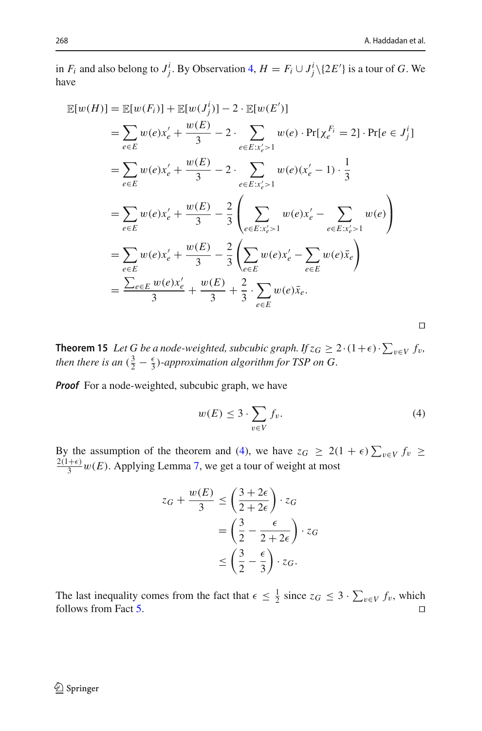Ч

in *F<sub>i</sub>* and also belong to *J*<sup>*j*</sup>. By Observation [4,](#page-22-2) *H* = *F<sub>i</sub>*  $\cup$  *J*<sup>*j*</sup> \{2*E'*} is a tour of *G*. We have

$$
\mathbb{E}[w(H)] = \mathbb{E}[w(F_i)] + \mathbb{E}[w(J_j^i)] - 2 \cdot \mathbb{E}[w(E')]
$$
  
\n
$$
= \sum_{e \in E} w(e)x_e' + \frac{w(E)}{3} - 2 \cdot \sum_{e \in E:x_e' > 1} w(e) \cdot \Pr[\chi_e^{F_i} = 2] \cdot \Pr[e \in J_j^i]
$$
  
\n
$$
= \sum_{e \in E} w(e)x_e' + \frac{w(E)}{3} - 2 \cdot \sum_{e \in E:x_e' > 1} w(e)(x_e' - 1) \cdot \frac{1}{3}
$$
  
\n
$$
= \sum_{e \in E} w(e)x_e' + \frac{w(E)}{3} - \frac{2}{3} \left( \sum_{e \in E:x_e' > 1} w(e)x_e' - \sum_{e \in E:x_e' > 1} w(e) \right)
$$
  
\n
$$
= \sum_{e \in E} w(e)x_e' + \frac{w(E)}{3} - \frac{2}{3} \left( \sum_{e \in E} w(e)x_e' - \sum_{e \in E} w(e)\bar{x}_e \right)
$$
  
\n
$$
= \frac{\sum_{e \in E} w(e)x_e'}{3} + \frac{w(E)}{3} + \frac{2}{3} \cdot \sum_{e \in E} w(e)\bar{x}_e.
$$

<span id="page-23-0"></span>**Theorem 15** Let G be a node-weighted, subcubic graph. If  $z_G \geq 2 \cdot (1+\epsilon) \cdot \sum_{v \in V} f_v$ , *then there is an*  $(\frac{3}{2} - \frac{\epsilon}{3})$ *-approximation algorithm for TSP on G.* 

*Proof* For a node-weighted, subcubic graph, we have

<span id="page-23-1"></span>
$$
w(E) \le 3 \cdot \sum_{v \in V} f_v.
$$
 (4)

By the assumption of the theorem and [\(4\)](#page-23-1), we have  $z_G \geq 2(1+\epsilon) \sum_{v \in V} f_v \geq 2(1+\epsilon)$  $\frac{2(1+\epsilon)}{3}$  *w*(*E*). Applying Lemma [7,](#page-21-2) we get a tour of weight at most

$$
z_G + \frac{w(E)}{3} \le \left(\frac{3+2\epsilon}{2+2\epsilon}\right) \cdot z_G
$$
  
=  $\left(\frac{3}{2} - \frac{\epsilon}{2+2\epsilon}\right) \cdot z_G$   

$$
\le \left(\frac{3}{2} - \frac{\epsilon}{3}\right) \cdot z_G.
$$

The last inequality comes from the fact that  $\epsilon \leq \frac{1}{2}$  since  $z_G \leq 3 \cdot \sum_{v \in V} f_v$ , which follows from Fact [5.](#page-20-1)  $\Box$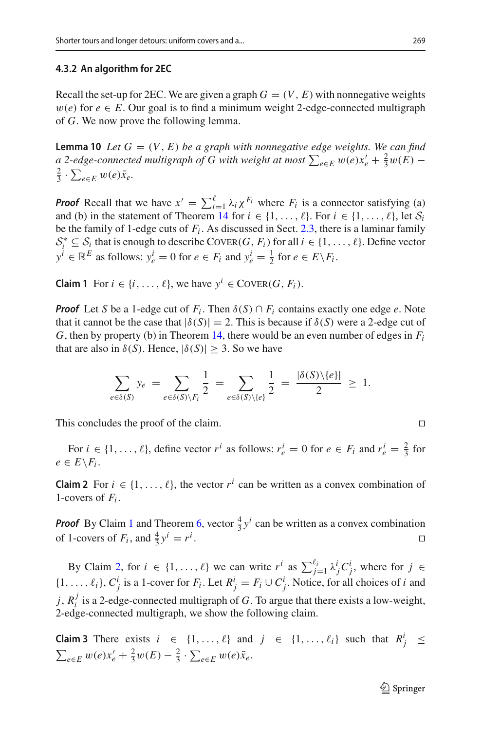#### <span id="page-24-0"></span>**4.3.2 An algorithm for 2EC**

Recall the set-up for 2EC. We are given a graph  $G = (V, E)$  with nonnegative weights  $w(e)$  for  $e \in E$ . Our goal is to find a minimum weight 2-edge-connected multigraph of *G*. We now prove the following lemma.

<span id="page-24-3"></span>**Lemma 10** *Let*  $G = (V, E)$  *be a graph with nonnegative edge weights. We can find a* 2-edge-connected multigraph of G with weight at most  $\sum_{e \in E} w(e) x'_e + \frac{2}{3} w(E) - \frac{2}{3} \cdot \sum_{e \in E} w(e) \overline{x}_e$  $\frac{2}{3} \cdot \sum_{e \in E} w(e) \bar{x}_e.$ 

**Proof** Recall that we have  $x' = \sum_{i=1}^{\ell} \lambda_i \chi^{F_i}$  where  $F_i$  is a connector satisfying (a) and (b) in the statement of Theorem [14](#page-16-0) for  $i \in \{1, \ldots, \ell\}$ . For  $i \in \{1, \ldots, \ell\}$ , let  $S_i$ be the family of 1-edge cuts of  $F_i$ . As discussed in Sect. [2.3,](#page-6-1) there is a laminar family  $S_i^* \subseteq S_i$  that is enough to describe COVER(*G*, *F<sub>i</sub>*) for all  $i \in \{1, ..., \ell\}$ . Define vector  $y^i \in \mathbb{R}^E$  as follows:  $y^i_e = 0$  for  $e \in F_i$  and  $y^i_e = \frac{1}{2}$  for  $e \in E \backslash F_i$ .

<span id="page-24-1"></span>**Claim 1** For  $i \in \{i, ..., \ell\}$ , we have  $y^i \in \text{CovER}(G, F_i)$ .

*Proof* Let *S* be a 1-edge cut of  $F_i$ . Then  $\delta(S) \cap F_i$  contains exactly one edge *e*. Note that it cannot be the case that  $|\delta(S)| = 2$ . This is because if  $\delta(S)$  were a 2-edge cut of *G*, then by property (b) in Theorem [14,](#page-16-0) there would be an even number of edges in  $F_i$ that are also in  $\delta(S)$ . Hence,  $|\delta(S)| \geq 3$ . So we have

$$
\sum_{e \in \delta(S)} y_e = \sum_{e \in \delta(S) \setminus F_i} \frac{1}{2} = \sum_{e \in \delta(S) \setminus \{e\}} \frac{1}{2} = \frac{|\delta(S) \setminus \{e\}|}{2} \ge 1.
$$

This concludes the proof of the claim.

<span id="page-24-2"></span>For  $i \in \{1, ..., \ell\}$ , define vector  $r^i$  as follows:  $r^i_e = 0$  for  $e \in F_i$  and  $r^i_e = \frac{2}{3}$  for  $e \in E \backslash F_i$ .

**Claim 2** For  $i \in \{1, ..., \ell\}$ , the vector  $r^i$  can be written as a convex combination of 1-covers of *Fi* .

*Proof* By Claim [1](#page-24-1) and Theorem [6,](#page-7-1) vector  $\frac{4}{3}y^i$  can be written as a convex combination of 1-covers of  $F_i$ , and  $\frac{4}{3}y^i = r^i$ . **Experimental and the contract of the Contract of Contract of the Contract of Contract of Contract of Contract**<br>The contract of the contract of the contract of the contract of the contract of the contract of the contract  $\Box$ 

By Claim [2,](#page-24-2) for  $i \in \{1, ..., \ell\}$  we can write  $r^i$  as  $\sum_{j=1}^{\ell_i} \lambda_j^i C_j^i$ , where for  $j \in$  $\{1, \ldots, \ell_i\}, C^i_j$  is a 1-cover for  $F_i$ . Let  $R^i_j = F_i \cup C^i_j$ . Notice, for all choices of *i* and *j*,  $R_i^j$  is a 2-edge-connected multigraph of *G*. To argue that there exists a low-weight, 2-edge-connected multigraph, we show the following claim.

**Claim 3** There exists  $i \in \{1, ..., \ell\}$  and  $j \in \{1, ..., \ell_i\}$  such that  $R^i_j \leq$  $\sum_{e \in E} w(e) x_e' + \frac{2}{3} w(E) - \frac{2}{3} \cdot \sum_{e \in E} w(e) \bar{x}_e$ .

$$
\Box
$$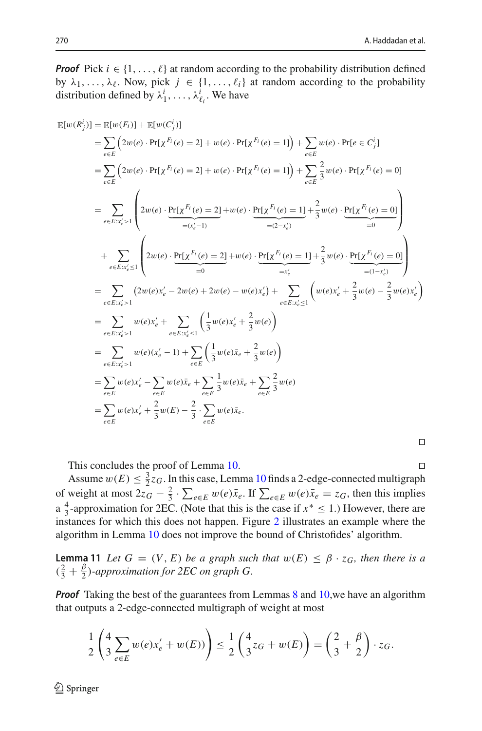*Proof* Pick  $i \in \{1, \ldots, \ell\}$  at random according to the probability distribution defined by  $\lambda_1, \ldots, \lambda_\ell$ . Now, pick  $j \in \{1, \ldots, \ell_i\}$  at random according to the probability distribution defined by  $\lambda_1^i$ , ...,  $\lambda_{\ell_i}^i$ . We have

$$
\mathbb{E}[w(R_j^i)] = \mathbb{E}[w(F_i)] + \mathbb{E}[w(C_j^i)]
$$
\n
$$
= \sum_{e \in E} (2w(e) \cdot \Pr[\chi^{F_i}(e) = 2] + w(e) \cdot \Pr[\chi^{F_i}(e) = 1]) + \sum_{e \in E} w(e) \cdot \Pr[e \in C_j^i]
$$
\n
$$
= \sum_{e \in E} (2w(e) \cdot \Pr[\chi^{F_i}(e) = 2] + w(e) \cdot \Pr[\chi^{F_i}(e) = 1]) + \sum_{e \in E} \frac{2}{3}w(e) \cdot \Pr[\chi^{F_i}(e) = 0]
$$
\n
$$
= \sum_{e \in E:x_e^i > 1} \left( 2w(e) \cdot \underbrace{\Pr[\chi^{F_i}(e) = 2]}_{= (x_e^i - 1)} + w(e) \cdot \underbrace{\Pr[\chi^{F_i}(e) = 1]}_{= (2 - x_e^i)} + \frac{2}{3}w(e) \cdot \underbrace{\Pr[\chi^{F_i}(e) = 0]}_{= 0} \right)
$$
\n
$$
+ \sum_{e \in E:x_e^i \le 1} \left( 2w(e) \cdot \underbrace{\Pr[\chi^{F_i}(e) = 2]}_{= 0} + w(e) \cdot \underbrace{\Pr[\chi^{F_i}(e) = 1]}_{= x_e^i} + \frac{2}{3}w(e) \cdot \underbrace{\Pr[\chi^{F_i}(e) = 0]}_{= (1 - x_e^i)} \right)
$$
\n
$$
= \sum_{e \in E:x_e^i > 1} (2w(e)x_e^i - 2w(e) + 2w(e) - w(e)x_e^i) + \sum_{e \in E:x_e^i \le 1} \left( w(e)x_e^i + \frac{2}{3}w(e) - \frac{2}{3}w(e)x_e^i \right)
$$
\n
$$
= \sum_{e \in E:x_e^i > 1} w(e)x_e^i + \sum_{e \in E} \left( \frac{1}{3}w(e)x_e^i + \frac{2}{3}w(e) \right)
$$
\n
$$
= \sum_{e \in E} w(e)x_e^i - \sum_{e \in E} w(e)\bar{x}_e + \sum_{e \in E} \frac{1}{3}w(e)\bar{x}_e + \sum_{e \in E} \frac{2}{3}w(e)
$$
\n
$$
= \sum_{e \in E} w(e)x_e
$$

Ч

 $\Box$ 

This concludes the proof of Lemma [10.](#page-24-3)

Assume  $w(E) \leq \frac{3}{2}z_G$ . In this case, Lemma [10](#page-24-3) finds a 2-edge-connected multigraph of weight at most  $2z_G - \frac{2}{3} \cdot \sum_{e \in E} w(e)\bar{x}_e$ . If  $\sum_{e \in E} w(e)\bar{x}_e = z_G$ , then this implies a  $\frac{4}{3}$ -approximation for 2EC. (Note that this is the case if  $x^* \le 1$ .) However, there are instances for which this does not happen. Figure [2](#page-26-0) illustrates an example where the algorithm in Lemma [10](#page-24-3) does not improve the bound of Christofides' algorithm.

<span id="page-25-0"></span>**Lemma 11** *Let*  $G = (V, E)$  *be a graph such that*  $w(E) \leq \beta \cdot z_G$ *, then there is a*  $(\frac{2}{3} + \frac{\beta}{2})$ -approximation for 2EC on graph G.

*Proof* Taking the best of the guarantees from Lemmas [8](#page-21-3) and [10,](#page-24-3) we have an algorithm that outputs a 2-edge-connected multigraph of weight at most

$$
\frac{1}{2} \left( \frac{4}{3} \sum_{e \in E} w(e) x'_e + w(E) \right) \le \frac{1}{2} \left( \frac{4}{3} z_G + w(E) \right) = \left( \frac{2}{3} + \frac{\beta}{2} \right) \cdot z_G.
$$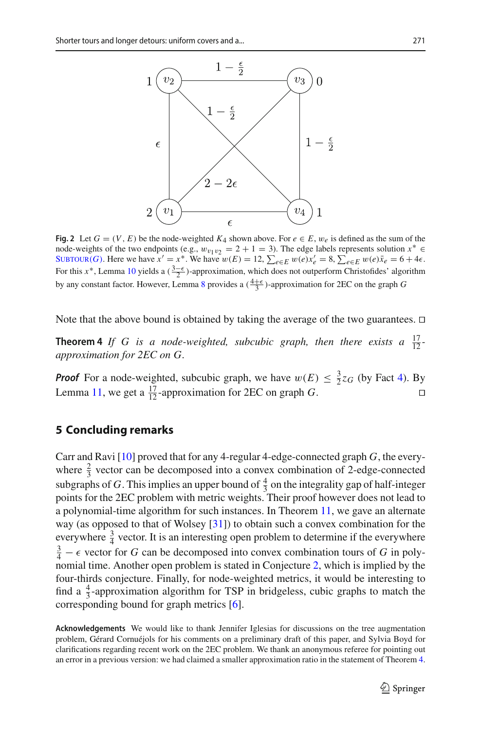

<span id="page-26-0"></span>**Fig. 2** Let  $G = (V, E)$  be the node-weighted  $K_4$  shown above. For  $e \in E$ ,  $w_e$  is defined as the sum of the node-weights of the two endpoints (e.g.,  $w_{v_1v_2} = 2 + 1 = 3$ ). The edge labels represents solution  $x^* \in$ SUBTOUR(*G*). Here we have  $x' = x^*$ . We have  $w(E) = 12$ ,  $\sum_{e \in E} w(e) x'_e = 8$ ,  $\sum_{e \in E} w(e) \overline{x}_e = 6 + 4\epsilon$ . For this *x*<sup>∗</sup>, Lemma [10](#page-24-3) yields a  $(\frac{3-\epsilon}{2})$ -approximation, which does not outperform Christofides' algorithm by any constant factor. However, Lemma [8](#page-21-3) provides a  $(\frac{4+\epsilon}{3})$ -approximation for 2EC on the graph *G* 

Note that the above bound is obtained by taking the average of the two guarantees.  $\Box$ 

**Theorem 4** If G is a node-weighted, subcubic graph, then there exists a  $\frac{17}{12}$ *approximation for 2EC on G.*

**Proof** For a node-weighted, subcubic graph, we have  $w(E) \leq \frac{3}{2}z_G$  (by Fact [4\)](#page-20-2). By Lemma [11,](#page-25-0) we get a  $\frac{17}{12}$ -approximation for 2EC on graph *G*.  $\Box$ 

## **5 Concluding remarks**

Carr and Ravi [\[10](#page-27-7)] proved that for any 4-regular 4-edge-connected graph *G*, the everywhere  $\frac{2}{3}$  vector can be decomposed into a convex combination of 2-edge-connected subgraphs of *G*. This implies an upper bound of  $\frac{4}{3}$  on the integrality gap of half-integer points for the 2EC problem with metric weights. Their proof however does not lead to a polynomial-time algorithm for such instances. In Theorem [11,](#page-12-1) we gave an alternate way (as opposed to that of Wolsey [\[31\]](#page-28-1)) to obtain such a convex combination for the everywhere  $\frac{3}{4}$  vector. It is an interesting open problem to determine if the everywhere  $\frac{3}{4} - \epsilon$  vector for *G* can be decomposed into convex combination tours of *G* in polynomial time. Another open problem is stated in Conjecture [2,](#page-2-3) which is implied by the four-thirds conjecture. Finally, for node-weighted metrics, it would be interesting to find a  $\frac{4}{3}$ -approximation algorithm for TSP in bridgeless, cubic graphs to match the corresponding bound for graph metrics [\[6](#page-27-4)].

**Acknowledgements** We would like to thank Jennifer Iglesias for discussions on the tree augmentation problem, Gérard Cornuéjols for his comments on a preliminary draft of this paper, and Sylvia Boyd for clarifications regarding recent work on the 2EC problem. We thank an anonymous referee for pointing out an error in a previous version: we had claimed a smaller approximation ratio in the statement of Theorem [4.](#page-3-2)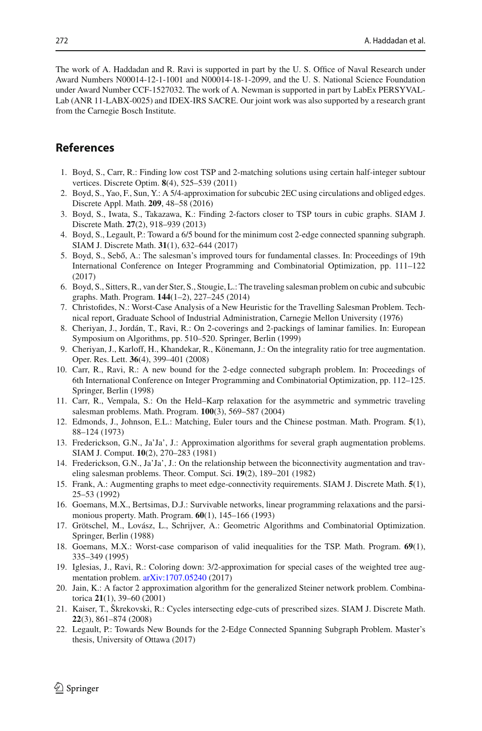The work of A. Haddadan and R. Ravi is supported in part by the U. S. Office of Naval Research under Award Numbers N00014-12-1-1001 and N00014-18-1-2099, and the U. S. National Science Foundation under Award Number CCF-1527032. The work of A. Newman is supported in part by LabEx PERSYVAL-Lab (ANR 11-LABX-0025) and IDEX-IRS SACRE. Our joint work was also supported by a research grant from the Carnegie Bosch Institute.

## **References**

- <span id="page-27-14"></span>1. Boyd, S., Carr, R.: Finding low cost TSP and 2-matching solutions using certain half-integer subtour vertices. Discrete Optim. **8**(4), 525–539 (2011)
- <span id="page-27-5"></span>2. Boyd, S., Yao, F., Sun, Y.: A 5/4-approximation for subcubic 2EC using circulations and obliged edges. Discrete Appl. Math. **209**, 48–58 (2016)
- <span id="page-27-11"></span>3. Boyd, S., Iwata, S., Takazawa, K.: Finding 2-factors closer to TSP tours in cubic graphs. SIAM J. Discrete Math. **27**(2), 918–939 (2013)
- <span id="page-27-8"></span>4. Boyd, S., Legault, P.: Toward a 6/5 bound for the minimum cost 2-edge connected spanning subgraph. SIAM J. Discrete Math. **31**(1), 632–644 (2017)
- <span id="page-27-6"></span>5. Boyd, S., Sebő, A.: The salesman's improved tours for fundamental classes. In: Proceedings of 19th International Conference on Integer Programming and Combinatorial Optimization, pp. 111–122 (2017)
- <span id="page-27-4"></span>6. Boyd, S., Sitters, R., van der Ster, S., Stougie, L.: The traveling salesman problem on cubic and subcubic graphs. Math. Program. **144**(1–2), 227–245 (2014)
- <span id="page-27-2"></span>7. Christofides, N.: Worst-Case Analysis of a New Heuristic for the Travelling Salesman Problem. Technical report, Graduate School of Industrial Administration, Carnegie Mellon University (1976)
- <span id="page-27-12"></span>8. Cheriyan, J., Jordán, T., Ravi, R.: On 2-coverings and 2-packings of laminar families. In: European Symposium on Algorithms, pp. 510–520. Springer, Berlin (1999)
- <span id="page-27-19"></span>9. Cheriyan, J., Karloff, H., Khandekar, R., Könemann, J.: On the integrality ratio for tree augmentation. Oper. Res. Lett. **36**(4), 399–401 (2008)
- <span id="page-27-7"></span>10. Carr, R., Ravi, R.: A new bound for the 2-edge connected subgraph problem. In: Proceedings of 6th International Conference on Integer Programming and Combinatorial Optimization, pp. 112–125. Springer, Berlin (1998)
- <span id="page-27-0"></span>11. Carr, R., Vempala, S.: On the Held–Karp relaxation for the asymmetric and symmetric traveling salesman problems. Math. Program. **100**(3), 569–587 (2004)
- <span id="page-27-21"></span>12. Edmonds, J., Johnson, E.L.: Matching, Euler tours and the Chinese postman. Math. Program. **5**(1), 88–124 (1973)
- <span id="page-27-13"></span>13. Frederickson, G.N., Ja'Ja', J.: Approximation algorithms for several graph augmentation problems. SIAM J. Comput. **10**(2), 270–283 (1981)
- <span id="page-27-3"></span>14. Frederickson, G.N., Ja'Ja', J.: On the relationship between the biconnectivity augmentation and traveling salesman problems. Theor. Comput. Sci. **19**(2), 189–201 (1982)
- <span id="page-27-10"></span>15. Frank, A.: Augmenting graphs to meet edge-connectivity requirements. SIAM J. Discrete Math. **5**(1), 25–53 (1992)
- <span id="page-27-16"></span>16. Goemans, M.X., Bertsimas, D.J.: Survivable networks, linear programming relaxations and the parsimonious property. Math. Program. **60**(1), 145–166 (1993)
- <span id="page-27-17"></span>17. Grötschel, M., Lovász, L., Schrijver, A.: Geometric Algorithms and Combinatorial Optimization. Springer, Berlin (1988)
- <span id="page-27-1"></span>18. Goemans, M.X.: Worst-case comparison of valid inequalities for the TSP. Math. Program. **69**(1), 335–349 (1995)
- <span id="page-27-15"></span>19. Iglesias, J., Ravi, R.: Coloring down: 3/2-approximation for special cases of the weighted tree augmentation problem. [arXiv:1707.05240](http://arxiv.org/abs/1707.05240) (2017)
- <span id="page-27-20"></span>20. Jain, K.: A factor 2 approximation algorithm for the generalized Steiner network problem. Combinatorica **21**(1), 39–60 (2001)
- <span id="page-27-18"></span>21. Kaiser, T., Škrekovski, R.: Cycles intersecting edge-cuts of prescribed sizes. SIAM J. Discrete Math. **22**(3), 861–874 (2008)
- <span id="page-27-9"></span>22. Legault, P.: Towards New Bounds for the 2-Edge Connected Spanning Subgraph Problem. Master's thesis, University of Ottawa (2017)